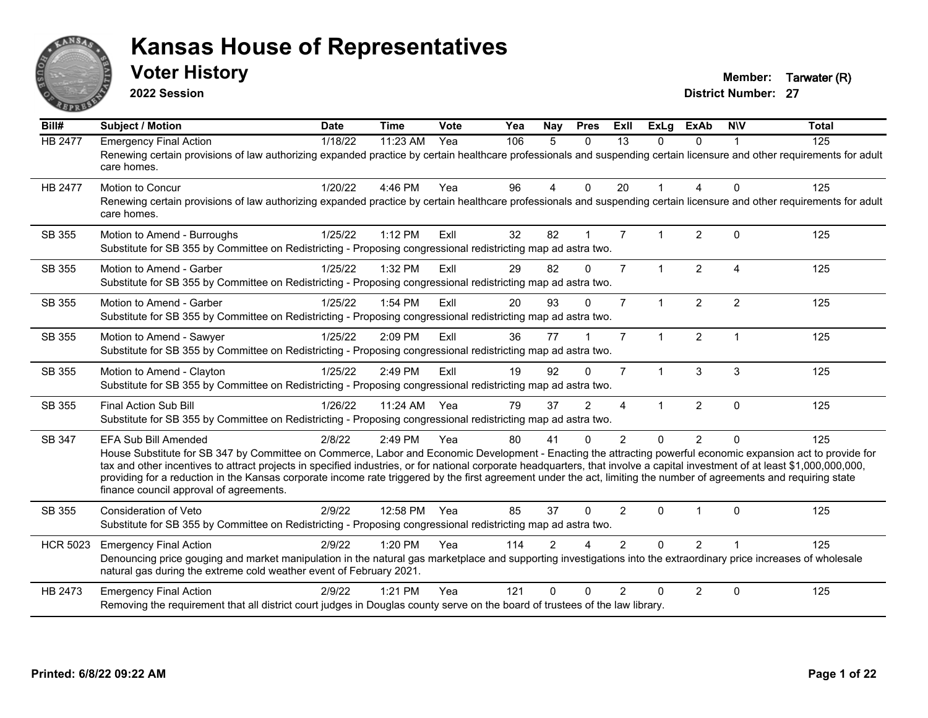

**2022 Session**

**Voter History Member: Tarwater (R)** 

| Bill#           | <b>Subject / Motion</b>                                                                                                                                                                                                                                                                                                                                                                                                                                                                                                                                                                            | <b>Date</b> | <b>Time</b>  | Vote | Yea | Nay            | <b>Pres</b>  | ExII           | <b>ExLg</b>          | <b>ExAb</b>    | <b>NIV</b>             | <b>Total</b> |
|-----------------|----------------------------------------------------------------------------------------------------------------------------------------------------------------------------------------------------------------------------------------------------------------------------------------------------------------------------------------------------------------------------------------------------------------------------------------------------------------------------------------------------------------------------------------------------------------------------------------------------|-------------|--------------|------|-----|----------------|--------------|----------------|----------------------|----------------|------------------------|--------------|
| <b>HB 2477</b>  | <b>Emergency Final Action</b><br>Renewing certain provisions of law authorizing expanded practice by certain healthcare professionals and suspending certain licensure and other requirements for adult<br>care homes.                                                                                                                                                                                                                                                                                                                                                                             | 1/18/22     | 11:23 AM     | Yea  | 106 | 5              | $\mathbf{0}$ | 13             | $\Omega$             | 0              |                        | 125          |
| HB 2477         | Motion to Concur<br>Renewing certain provisions of law authorizing expanded practice by certain healthcare professionals and suspending certain licensure and other requirements for adult<br>care homes.                                                                                                                                                                                                                                                                                                                                                                                          | 1/20/22     | 4:46 PM      | Yea  | 96  | $\overline{4}$ | $\Omega$     | 20             |                      | 4              | $\mathbf{0}$           | 125          |
| SB 355          | Motion to Amend - Burroughs<br>Substitute for SB 355 by Committee on Redistricting - Proposing congressional redistricting map ad astra two.                                                                                                                                                                                                                                                                                                                                                                                                                                                       | 1/25/22     | 1:12 PM      | Exll | 32  | 82             | $\mathbf{1}$ | $\overline{7}$ |                      | 2              | $\Omega$               | 125          |
| <b>SB 355</b>   | Motion to Amend - Garber<br>Substitute for SB 355 by Committee on Redistricting - Proposing congressional redistricting map ad astra two.                                                                                                                                                                                                                                                                                                                                                                                                                                                          | 1/25/22     | 1:32 PM      | ExIl | 29  | 82             | $\Omega$     | $\overline{7}$ | $\mathbf{1}$         | $\overline{2}$ | $\boldsymbol{\Lambda}$ | 125          |
| SB 355          | Motion to Amend - Garber<br>Substitute for SB 355 by Committee on Redistricting - Proposing congressional redistricting map ad astra two.                                                                                                                                                                                                                                                                                                                                                                                                                                                          | 1/25/22     | 1:54 PM      | Exll | 20  | 93             | $\Omega$     | $\overline{7}$ |                      | $\overline{2}$ | $\overline{2}$         | 125          |
| SB 355          | Motion to Amend - Sawyer<br>Substitute for SB 355 by Committee on Redistricting - Proposing congressional redistricting map ad astra two.                                                                                                                                                                                                                                                                                                                                                                                                                                                          | 1/25/22     | 2:09 PM      | Exll | 36  | 77             |              | $\overline{7}$ | $\mathbf{1}$         | 2              | $\overline{1}$         | 125          |
| SB 355          | Motion to Amend - Clayton<br>Substitute for SB 355 by Committee on Redistricting - Proposing congressional redistricting map ad astra two.                                                                                                                                                                                                                                                                                                                                                                                                                                                         | 1/25/22     | 2:49 PM      | ExIl | 19  | 92             | $\Omega$     | $\overline{7}$ | $\blacktriangleleft$ | 3              | 3                      | 125          |
| SB 355          | <b>Final Action Sub Bill</b><br>Substitute for SB 355 by Committee on Redistricting - Proposing congressional redistricting map ad astra two.                                                                                                                                                                                                                                                                                                                                                                                                                                                      | 1/26/22     | 11:24 AM     | Yea  | 79  | 37             | 2            | 4              |                      | $\overline{2}$ | $\mathbf{0}$           | 125          |
| SB 347          | <b>EFA Sub Bill Amended</b><br>House Substitute for SB 347 by Committee on Commerce, Labor and Economic Development - Enacting the attracting powerful economic expansion act to provide for<br>tax and other incentives to attract projects in specified industries, or for national corporate headquarters, that involve a capital investment of at least \$1,000,000,000,000,<br>providing for a reduction in the Kansas corporate income rate triggered by the first agreement under the act, limiting the number of agreements and requiring state<br>finance council approval of agreements. | 2/8/22      | 2:49 PM      | Yea  | 80  | 41             | $\Omega$     | 2              | $\Omega$             | $\overline{2}$ | $\Omega$               | 125          |
| SB 355          | <b>Consideration of Veto</b><br>Substitute for SB 355 by Committee on Redistricting - Proposing congressional redistricting map ad astra two.                                                                                                                                                                                                                                                                                                                                                                                                                                                      | 2/9/22      | 12:58 PM Yea |      | 85  | 37             | $\Omega$     | $\overline{2}$ | $\Omega$             |                | $\Omega$               | 125          |
| <b>HCR 5023</b> | <b>Emergency Final Action</b><br>Denouncing price gouging and market manipulation in the natural gas marketplace and supporting investigations into the extraordinary price increases of wholesale<br>natural gas during the extreme cold weather event of February 2021.                                                                                                                                                                                                                                                                                                                          | 2/9/22      | 1:20 PM      | Yea  | 114 | $\overline{2}$ |              | $\overline{2}$ | $\Omega$             | $\overline{2}$ |                        | 125          |
| HB 2473         | <b>Emergency Final Action</b><br>Removing the requirement that all district court judges in Douglas county serve on the board of trustees of the law library.                                                                                                                                                                                                                                                                                                                                                                                                                                      | 2/9/22      | 1:21 PM      | Yea  | 121 | $\Omega$       | $\Omega$     | $\mathfrak{p}$ | 0                    | $\overline{2}$ | $\mathbf{0}$           | 125          |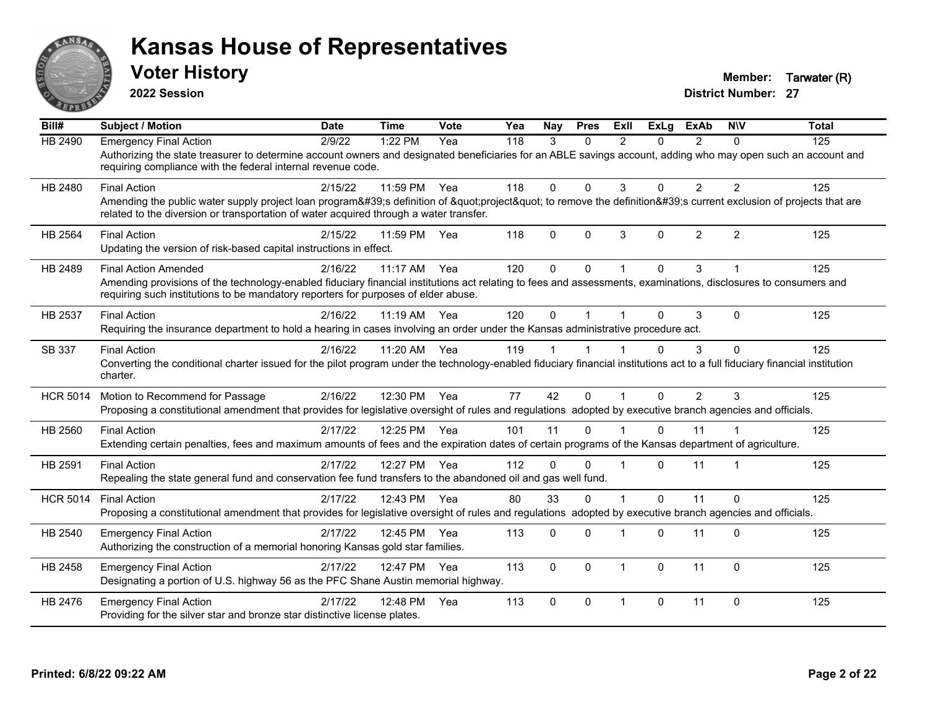

**2022 Session**

**Voter History Member: Tarwater (R)** 

| Bill#           | <b>Subject / Motion</b>                                                                                                                                                                                                                                                              | <b>Date</b> | <b>Time</b> | Vote | Yea | <b>Nav</b> | <b>Pres</b> | ExII           | <b>ExLa</b>  | <b>ExAb</b>    | <b>NIV</b>     | <b>Total</b> |
|-----------------|--------------------------------------------------------------------------------------------------------------------------------------------------------------------------------------------------------------------------------------------------------------------------------------|-------------|-------------|------|-----|------------|-------------|----------------|--------------|----------------|----------------|--------------|
| HB 2490         | <b>Emergency Final Action</b><br>Authorizing the state treasurer to determine account owners and designated beneficiaries for an ABLE savings account, adding who may open such an account and<br>requiring compliance with the federal internal revenue code.                       | 2/9/22      | 1:22 PM     | Yea  | 118 | 3          | $\Omega$    | $\mathcal{P}$  | 0            | $\overline{2}$ | $\Omega$       | 125          |
| HB 2480         | <b>Final Action</b><br>Amending the public water supply project loan program's definition of "project" to remove the definition's current exclusion of projects that are<br>related to the diversion or transportation of water acquired through a water transfer.                   | 2/15/22     | 11:59 PM    | Yea  | 118 | $\Omega$   | $\Omega$    | 3              | $\Omega$     | $\overline{2}$ | 2              | 125          |
| HB 2564         | <b>Final Action</b><br>Updating the version of risk-based capital instructions in effect.                                                                                                                                                                                            | 2/15/22     | 11:59 PM    | Yea  | 118 | 0          | $\Omega$    | 3              | $\Omega$     | $\overline{2}$ | $\overline{2}$ | 125          |
| HB 2489         | <b>Final Action Amended</b><br>Amending provisions of the technology-enabled fiduciary financial institutions act relating to fees and assessments, examinations, disclosures to consumers and<br>requiring such institutions to be mandatory reporters for purposes of elder abuse. | 2/16/22     | 11:17 AM    | Yea  | 120 | $\Omega$   | $\Omega$    |                | $\Omega$     | 3              |                | 125          |
| HB 2537         | <b>Final Action</b><br>Requiring the insurance department to hold a hearing in cases involving an order under the Kansas administrative procedure act.                                                                                                                               | 2/16/22     | 11:19 AM    | Yea  | 120 | $\Omega$   |             |                | 0            | 3              | $\Omega$       | 125          |
| SB 337          | <b>Final Action</b><br>Converting the conditional charter issued for the pilot program under the technology-enabled fiduciary financial institutions act to a full fiduciary financial institution<br>charter.                                                                       | 2/16/22     | 11:20 AM    | Yea  | 119 |            |             |                | 0            | 3              | $\Omega$       | 125          |
| <b>HCR 5014</b> | Motion to Recommend for Passage<br>Proposing a constitutional amendment that provides for legislative oversight of rules and regulations adopted by executive branch agencies and officials.                                                                                         | 2/16/22     | 12:30 PM    | Yea  | 77  | 42         | $\Omega$    |                | $\Omega$     | $\overline{2}$ | 3              | 125          |
| HB 2560         | <b>Final Action</b><br>Extending certain penalties, fees and maximum amounts of fees and the expiration dates of certain programs of the Kansas department of agriculture.                                                                                                           | 2/17/22     | 12:25 PM    | Yea  | 101 | 11         | $\Omega$    |                | $\Omega$     | 11             |                | 125          |
| HB 2591         | <b>Final Action</b><br>Repealing the state general fund and conservation fee fund transfers to the abandoned oil and gas well fund.                                                                                                                                                  | 2/17/22     | 12:27 PM    | Yea  | 112 | $\Omega$   | $\Omega$    |                | $\Omega$     | 11             |                | 125          |
| <b>HCR 5014</b> | <b>Final Action</b><br>Proposing a constitutional amendment that provides for legislative oversight of rules and regulations adopted by executive branch agencies and officials.                                                                                                     | 2/17/22     | 12:43 PM    | Yea  | 80  | 33         | $\Omega$    |                | $\mathbf{0}$ | 11             | $\Omega$       | 125          |
| HB 2540         | <b>Emergency Final Action</b><br>Authorizing the construction of a memorial honoring Kansas gold star families.                                                                                                                                                                      | 2/17/22     | 12:45 PM    | Yea  | 113 | 0          | $\Omega$    |                | 0            | 11             | $\Omega$       | 125          |
| HB 2458         | <b>Emergency Final Action</b><br>Designating a portion of U.S. highway 56 as the PFC Shane Austin memorial highway.                                                                                                                                                                  | 2/17/22     | 12:47 PM    | Yea  | 113 | $\Omega$   | $\Omega$    | $\overline{1}$ | $\Omega$     | 11             | $\Omega$       | 125          |
| HB 2476         | <b>Emergency Final Action</b><br>Providing for the silver star and bronze star distinctive license plates.                                                                                                                                                                           | 2/17/22     | 12:48 PM    | Yea  | 113 | $\Omega$   | $\Omega$    | $\overline{1}$ | 0            | 11             | $\Omega$       | 125          |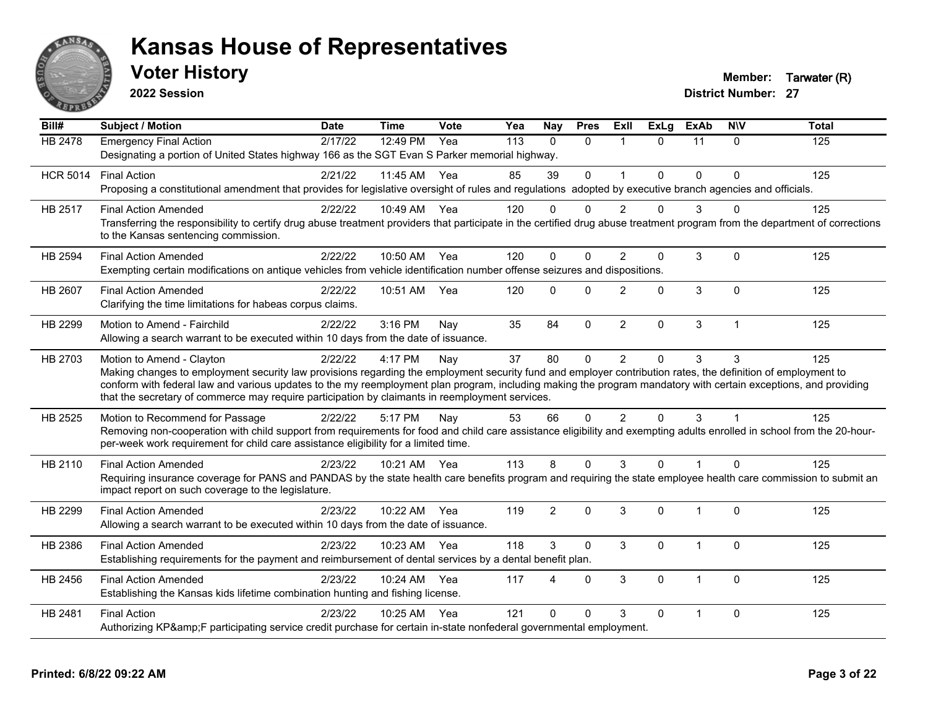

**2022 Session**

**Voter History Member: Tarwater (R)** 

| Bill#           | <b>Subject / Motion</b>                                                                                                                                                                                                                                                                                                                                                                                                                                         | <b>Date</b> | <b>Time</b>  | Vote | Yea | <b>Nay</b>     | <b>Pres</b>  | ExIl           | <b>ExLg</b> | <b>ExAb</b>    | <b>NIV</b>   | <b>Total</b> |
|-----------------|-----------------------------------------------------------------------------------------------------------------------------------------------------------------------------------------------------------------------------------------------------------------------------------------------------------------------------------------------------------------------------------------------------------------------------------------------------------------|-------------|--------------|------|-----|----------------|--------------|----------------|-------------|----------------|--------------|--------------|
| <b>HB 2478</b>  | <b>Emergency Final Action</b><br>Designating a portion of United States highway 166 as the SGT Evan S Parker memorial highway.                                                                                                                                                                                                                                                                                                                                  | 2/17/22     | 12:49 PM     | Yea  | 113 | $\Omega$       | $\Omega$     | $\overline{1}$ | $\Omega$    | 11             | $\Omega$     | 125          |
| <b>HCR 5014</b> | <b>Final Action</b><br>Proposing a constitutional amendment that provides for legislative oversight of rules and regulations adopted by executive branch agencies and officials.                                                                                                                                                                                                                                                                                | 2/21/22     | 11:45 AM     | Yea  | 85  | 39             | $\Omega$     |                | 0           | $\Omega$       | $\Omega$     | 125          |
| HB 2517         | <b>Final Action Amended</b><br>Transferring the responsibility to certify drug abuse treatment providers that participate in the certified drug abuse treatment program from the department of corrections<br>to the Kansas sentencing commission.                                                                                                                                                                                                              | 2/22/22     | 10:49 AM Yea |      | 120 | $\Omega$       | $\Omega$     | $\mathcal{P}$  | U           | 3              | $\Omega$     | 125          |
| HB 2594         | <b>Final Action Amended</b><br>Exempting certain modifications on antique vehicles from vehicle identification number offense seizures and dispositions.                                                                                                                                                                                                                                                                                                        | 2/22/22     | 10:50 AM     | Yea  | 120 | $\Omega$       | $\Omega$     | $\mathfrak{p}$ | 0           | 3              | $\Omega$     | 125          |
| HB 2607         | <b>Final Action Amended</b><br>Clarifying the time limitations for habeas corpus claims.                                                                                                                                                                                                                                                                                                                                                                        | 2/22/22     | 10:51 AM     | Yea  | 120 | $\mathbf{0}$   | $\mathbf{0}$ | $\overline{2}$ | 0           | 3              | $\mathbf{0}$ | 125          |
| HB 2299         | Motion to Amend - Fairchild<br>Allowing a search warrant to be executed within 10 days from the date of issuance.                                                                                                                                                                                                                                                                                                                                               | 2/22/22     | 3:16 PM      | Nay  | 35  | 84             | $\mathbf{0}$ | $\overline{2}$ | 0           | 3              | $\mathbf{1}$ | 125          |
| HB 2703         | Motion to Amend - Clayton<br>Making changes to employment security law provisions regarding the employment security fund and employer contribution rates, the definition of employment to<br>conform with federal law and various updates to the my reemployment plan program, including making the program mandatory with certain exceptions, and providing<br>that the secretary of commerce may require participation by claimants in reemployment services. | 2/22/22     | 4:17 PM      | Nay  | 37  | 80             | $\mathbf{0}$ | 2              | $\Omega$    | 3              | 3            | 125          |
| HB 2525         | Motion to Recommend for Passage<br>Removing non-cooperation with child support from requirements for food and child care assistance eligibility and exempting adults enrolled in school from the 20-hour-<br>per-week work requirement for child care assistance eligibility for a limited time.                                                                                                                                                                | 2/22/22     | 5:17 PM      | Nay  | 53  | 66             | $\mathbf{0}$ | $\overline{2}$ | $\Omega$    | 3              |              | 125          |
| HB 2110         | <b>Final Action Amended</b><br>Requiring insurance coverage for PANS and PANDAS by the state health care benefits program and requiring the state employee health care commission to submit an<br>impact report on such coverage to the legislature.                                                                                                                                                                                                            | 2/23/22     | 10:21 AM Yea |      | 113 | 8              | $\Omega$     | 3              | $\Omega$    | $\overline{1}$ | $\Omega$     | 125          |
| HB 2299         | <b>Final Action Amended</b><br>Allowing a search warrant to be executed within 10 days from the date of issuance.                                                                                                                                                                                                                                                                                                                                               | 2/23/22     | 10:22 AM     | Yea  | 119 | $\overline{2}$ | $\Omega$     | 3              | $\Omega$    | $\overline{1}$ | $\Omega$     | 125          |
| HB 2386         | <b>Final Action Amended</b><br>Establishing requirements for the payment and reimbursement of dental services by a dental benefit plan.                                                                                                                                                                                                                                                                                                                         | 2/23/22     | 10:23 AM     | Yea  | 118 | 3              | $\Omega$     | 3              | $\Omega$    | 1              | $\Omega$     | 125          |
| HB 2456         | <b>Final Action Amended</b><br>Establishing the Kansas kids lifetime combination hunting and fishing license.                                                                                                                                                                                                                                                                                                                                                   | 2/23/22     | 10:24 AM     | Yea  | 117 | Δ              | $\mathbf{0}$ | 3              | 0           | -1             | $\mathbf{0}$ | 125          |
| HB 2481         | <b>Final Action</b><br>Authorizing KP&F participating service credit purchase for certain in-state nonfederal governmental employment.                                                                                                                                                                                                                                                                                                                          | 2/23/22     | 10:25 AM Yea |      | 121 | $\Omega$       | $\Omega$     | 3              | $\Omega$    | -1             | $\Omega$     | 125          |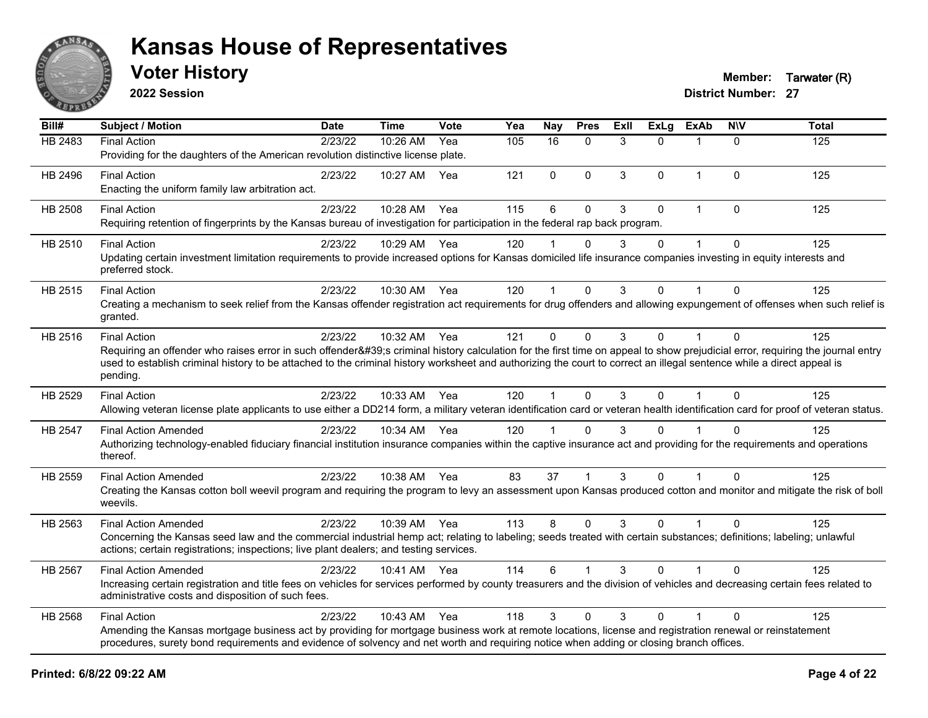

**2022 Session**

**Voter History Member: Tarwater (R)** 

| Bill#          | <b>Subject / Motion</b>                                                                                                                                                                                                                                                                                                                                         | <b>Date</b> | <b>Time</b>  | Vote | Yea | <b>Nay</b>  | <b>Pres</b>  | <b>ExII</b> | <b>ExLg</b> | ExAb         | <b>NIV</b>   | <b>Total</b> |
|----------------|-----------------------------------------------------------------------------------------------------------------------------------------------------------------------------------------------------------------------------------------------------------------------------------------------------------------------------------------------------------------|-------------|--------------|------|-----|-------------|--------------|-------------|-------------|--------------|--------------|--------------|
| HB 2483        | <b>Final Action</b>                                                                                                                                                                                                                                                                                                                                             | 2/23/22     | 10:26 AM     | Yea  | 105 | 16          | $\Omega$     | 3           | 0           |              | $\Omega$     | 125          |
|                | Providing for the daughters of the American revolution distinctive license plate.                                                                                                                                                                                                                                                                               |             |              |      |     |             |              |             |             |              |              |              |
| HB 2496        | <b>Final Action</b>                                                                                                                                                                                                                                                                                                                                             | 2/23/22     | 10:27 AM     | Yea  | 121 | $\mathbf 0$ | $\mathbf{0}$ | 3           | $\Omega$    | $\mathbf 1$  | $\mathbf{0}$ | 125          |
|                | Enacting the uniform family law arbitration act.                                                                                                                                                                                                                                                                                                                |             |              |      |     |             |              |             |             |              |              |              |
| <b>HB 2508</b> | <b>Final Action</b>                                                                                                                                                                                                                                                                                                                                             | 2/23/22     | 10:28 AM     | Yea  | 115 | 6           | $\mathbf 0$  | 3           | $\mathbf 0$ | $\mathbf{1}$ | $\mathbf 0$  | 125          |
|                | Requiring retention of fingerprints by the Kansas bureau of investigation for participation in the federal rap back program.                                                                                                                                                                                                                                    |             |              |      |     |             |              |             |             |              |              |              |
| HB 2510        | <b>Final Action</b>                                                                                                                                                                                                                                                                                                                                             | 2/23/22     | 10:29 AM Yea |      | 120 |             | $\Omega$     | 3           | $\Omega$    |              | 0            | 125          |
|                | Updating certain investment limitation requirements to provide increased options for Kansas domiciled life insurance companies investing in equity interests and<br>preferred stock.                                                                                                                                                                            |             |              |      |     |             |              |             |             |              |              |              |
| HB 2515        | <b>Final Action</b>                                                                                                                                                                                                                                                                                                                                             | 2/23/22     | 10:30 AM Yea |      | 120 | $\mathbf 1$ | $\Omega$     | 3           | $\Omega$    | 1            | $\Omega$     | 125          |
|                | Creating a mechanism to seek relief from the Kansas offender registration act requirements for drug offenders and allowing expungement of offenses when such relief is<br>granted.                                                                                                                                                                              |             |              |      |     |             |              |             |             |              |              |              |
| HB 2516        | <b>Final Action</b>                                                                                                                                                                                                                                                                                                                                             | 2/23/22     | 10:32 AM Yea |      | 121 | $\mathbf 0$ | $\mathbf{0}$ | 3           | $\mathbf 0$ | $\mathbf{1}$ | $\mathbf{0}$ | 125          |
|                | Requiring an offender who raises error in such offender's criminal history calculation for the first time on appeal to show prejudicial error, requiring the journal entry<br>used to establish criminal history to be attached to the criminal history worksheet and authorizing the court to correct an illegal sentence while a direct appeal is<br>pending. |             |              |      |     |             |              |             |             |              |              |              |
| HB 2529        | <b>Final Action</b>                                                                                                                                                                                                                                                                                                                                             | 2/23/22     | 10:33 AM Yea |      | 120 |             | $\mathbf{0}$ | 3           | $\Omega$    |              | $\Omega$     | 125          |
|                | Allowing veteran license plate applicants to use either a DD214 form, a military veteran identification card or veteran health identification card for proof of veteran status.                                                                                                                                                                                 |             |              |      |     |             |              |             |             |              |              |              |
| HB 2547        | <b>Final Action Amended</b>                                                                                                                                                                                                                                                                                                                                     | 2/23/22     | 10:34 AM Yea |      | 120 |             | $\Omega$     | 3           | $\Omega$    |              | $\Omega$     | 125          |
|                | Authorizing technology-enabled fiduciary financial institution insurance companies within the captive insurance act and providing for the requirements and operations<br>thereof.                                                                                                                                                                               |             |              |      |     |             |              |             |             |              |              |              |
| HB 2559        | <b>Final Action Amended</b>                                                                                                                                                                                                                                                                                                                                     | 2/23/22     | 10:38 AM Yea |      | 83  | 37          | 1            | 3           | $\Omega$    |              | $\Omega$     | 125          |
|                | Creating the Kansas cotton boll weevil program and requiring the program to levy an assessment upon Kansas produced cotton and monitor and mitigate the risk of boll<br>weevils.                                                                                                                                                                                |             |              |      |     |             |              |             |             |              |              |              |
| HB 2563        | <b>Final Action Amended</b>                                                                                                                                                                                                                                                                                                                                     | 2/23/22     | 10:39 AM Yea |      | 113 | 8           | $\Omega$     | 3           | $\Omega$    | $\mathbf 1$  | $\Omega$     | 125          |
|                | Concerning the Kansas seed law and the commercial industrial hemp act; relating to labeling; seeds treated with certain substances; definitions; labeling; unlawful<br>actions; certain registrations; inspections; live plant dealers; and testing services.                                                                                                   |             |              |      |     |             |              |             |             |              |              |              |
| HB 2567        | <b>Final Action Amended</b>                                                                                                                                                                                                                                                                                                                                     | 2/23/22     | 10:41 AM Yea |      | 114 | 6           |              | 3           | $\Omega$    |              | $\mathbf{0}$ | 125          |
|                | Increasing certain registration and title fees on vehicles for services performed by county treasurers and the division of vehicles and decreasing certain fees related to<br>administrative costs and disposition of such fees.                                                                                                                                |             |              |      |     |             |              |             |             |              |              |              |
| HB 2568        | <b>Final Action</b>                                                                                                                                                                                                                                                                                                                                             | 2/23/22     | 10:43 AM     | Yea  | 118 | 3           | $\mathbf{0}$ | 3           | $\Omega$    |              | $\Omega$     | 125          |
|                | Amending the Kansas mortgage business act by providing for mortgage business work at remote locations, license and registration renewal or reinstatement<br>procedures, surety bond requirements and evidence of solvency and net worth and requiring notice when adding or closing branch offices.                                                             |             |              |      |     |             |              |             |             |              |              |              |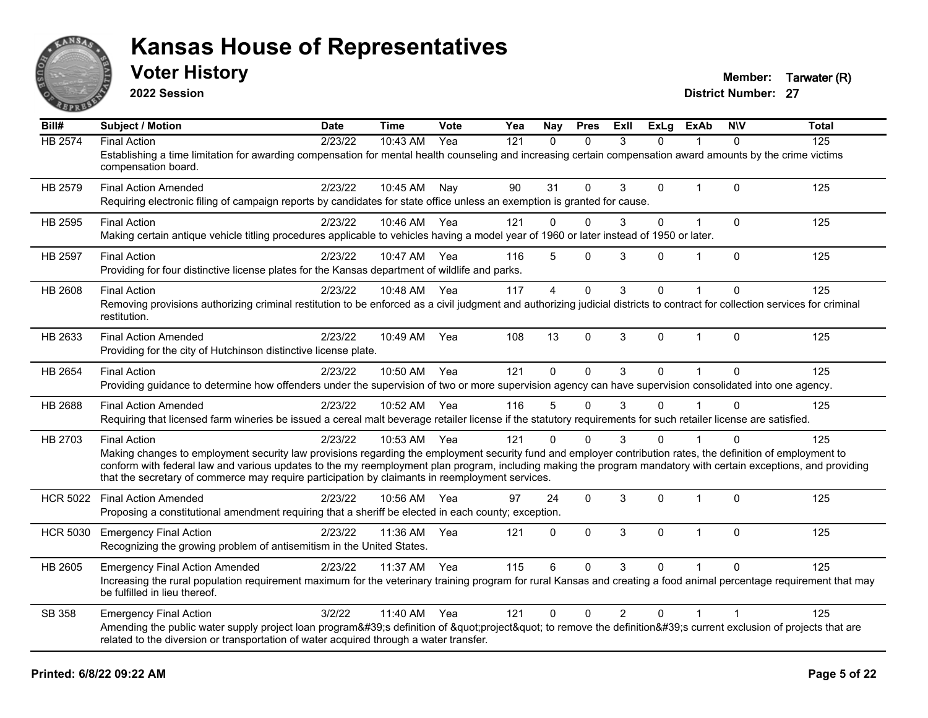

**2022 Session**

**Voter History Member: Tarwater (R)** 

| Bill#           | <b>Subject / Motion</b>                                                                                                                                                                                                                                            | <b>Date</b> | <b>Time</b> | Vote | Yea | Nay            | <b>Pres</b>  | ExII           | <b>ExLg</b>  | <b>ExAb</b>    | <b>NIV</b>     | <b>Total</b> |
|-----------------|--------------------------------------------------------------------------------------------------------------------------------------------------------------------------------------------------------------------------------------------------------------------|-------------|-------------|------|-----|----------------|--------------|----------------|--------------|----------------|----------------|--------------|
| <b>HB 2574</b>  | <b>Final Action</b>                                                                                                                                                                                                                                                | 2/23/22     | 10:43 AM    | Yea  | 121 | $\mathbf{0}$   | $\Omega$     | 3              | $\Omega$     |                | 0              | 125          |
|                 | Establishing a time limitation for awarding compensation for mental health counseling and increasing certain compensation award amounts by the crime victims<br>compensation board.                                                                                |             |             |      |     |                |              |                |              |                |                |              |
| HB 2579         | <b>Final Action Amended</b>                                                                                                                                                                                                                                        | 2/23/22     | 10:45 AM    | Nay  | 90  | 31             | $\Omega$     | 3              | $\Omega$     | $\mathbf{1}$   | $\mathbf{0}$   | 125          |
|                 | Requiring electronic filing of campaign reports by candidates for state office unless an exemption is granted for cause.                                                                                                                                           |             |             |      |     |                |              |                |              |                |                |              |
| HB 2595         | <b>Final Action</b>                                                                                                                                                                                                                                                | 2/23/22     | 10:46 AM    | Yea  | 121 | 0              | $\Omega$     | 3              | $\mathbf 0$  | $\mathbf 1$    | $\mathbf 0$    | 125          |
|                 | Making certain antique vehicle titling procedures applicable to vehicles having a model year of 1960 or later instead of 1950 or later.                                                                                                                            |             |             |      |     |                |              |                |              |                |                |              |
| <b>HB 2597</b>  | <b>Final Action</b>                                                                                                                                                                                                                                                | 2/23/22     | 10:47 AM    | Yea  | 116 | 5              | $\mathbf{0}$ | 3              | 0            | 1              | $\mathbf{0}$   | 125          |
|                 | Providing for four distinctive license plates for the Kansas department of wildlife and parks.                                                                                                                                                                     |             |             |      |     |                |              |                |              |                |                |              |
| HB 2608         | <b>Final Action</b>                                                                                                                                                                                                                                                | 2/23/22     | 10:48 AM    | Yea  | 117 | $\overline{4}$ | $\mathbf{0}$ | 3              | $\Omega$     |                | $\mathbf{0}$   | 125          |
|                 | Removing provisions authorizing criminal restitution to be enforced as a civil judgment and authorizing judicial districts to contract for collection services for criminal<br>restitution.                                                                        |             |             |      |     |                |              |                |              |                |                |              |
| HB 2633         | <b>Final Action Amended</b>                                                                                                                                                                                                                                        | 2/23/22     | 10:49 AM    | Yea  | 108 | 13             | $\Omega$     | 3              | $\mathbf{0}$ | $\mathbf{1}$   | $\mathbf{0}$   | 125          |
|                 | Providing for the city of Hutchinson distinctive license plate.                                                                                                                                                                                                    |             |             |      |     |                |              |                |              |                |                |              |
| HB 2654         | <b>Final Action</b>                                                                                                                                                                                                                                                | 2/23/22     | 10:50 AM    | Yea  | 121 | $\Omega$       | $\Omega$     | 3              | $\Omega$     | $\overline{1}$ | $\Omega$       | 125          |
|                 | Providing guidance to determine how offenders under the supervision of two or more supervision agency can have supervision consolidated into one agency.                                                                                                           |             |             |      |     |                |              |                |              |                |                |              |
| <b>HB 2688</b>  | <b>Final Action Amended</b>                                                                                                                                                                                                                                        | 2/23/22     | 10:52 AM    | Yea  | 116 | 5              | $\Omega$     | 3              | 0            |                | $\Omega$       | 125          |
|                 | Requiring that licensed farm wineries be issued a cereal malt beverage retailer license if the statutory requirements for such retailer license are satisfied.                                                                                                     |             |             |      |     |                |              |                |              |                |                |              |
| HB 2703         | <b>Final Action</b>                                                                                                                                                                                                                                                | 2/23/22     | 10:53 AM    | Yea  | 121 | $\Omega$       | $\Omega$     | 3              | 0            |                | $\Omega$       | 125          |
|                 | Making changes to employment security law provisions regarding the employment security fund and employer contribution rates, the definition of employment to                                                                                                       |             |             |      |     |                |              |                |              |                |                |              |
|                 | conform with federal law and various updates to the my reemployment plan program, including making the program mandatory with certain exceptions, and providing<br>that the secretary of commerce may require participation by claimants in reemployment services. |             |             |      |     |                |              |                |              |                |                |              |
| <b>HCR 5022</b> | <b>Final Action Amended</b>                                                                                                                                                                                                                                        | 2/23/22     | 10:56 AM    | Yea  | 97  | 24             | $\mathbf 0$  | 3              | 0            | $\mathbf 1$    | $\mathbf 0$    | 125          |
|                 | Proposing a constitutional amendment requiring that a sheriff be elected in each county; exception.                                                                                                                                                                |             |             |      |     |                |              |                |              |                |                |              |
| <b>HCR 5030</b> | <b>Emergency Final Action</b>                                                                                                                                                                                                                                      | 2/23/22     | 11:36 AM    | Yea  | 121 | $\Omega$       | $\Omega$     | 3              | $\Omega$     | $\mathbf{1}$   | $\mathbf{0}$   | 125          |
|                 | Recognizing the growing problem of antisemitism in the United States.                                                                                                                                                                                              |             |             |      |     |                |              |                |              |                |                |              |
| HB 2605         | <b>Emergency Final Action Amended</b>                                                                                                                                                                                                                              | 2/23/22     | 11:37 AM    | Yea  | 115 | 6              | $\Omega$     | 3              | 0            |                | $\Omega$       | 125          |
|                 | Increasing the rural population requirement maximum for the veterinary training program for rural Kansas and creating a food animal percentage requirement that may<br>be fulfilled in lieu thereof.                                                               |             |             |      |     |                |              |                |              |                |                |              |
| SB 358          | <b>Emergency Final Action</b>                                                                                                                                                                                                                                      | 3/2/22      | 11:40 AM    | Yea  | 121 | 0              | $\Omega$     | $\overline{2}$ | $\Omega$     | 1              | $\overline{1}$ | 125          |
|                 | Amending the public water supply project loan program's definition of "project" to remove the definition's current exclusion of projects that are<br>related to the diversion or transportation of water acquired through a water transfer.                        |             |             |      |     |                |              |                |              |                |                |              |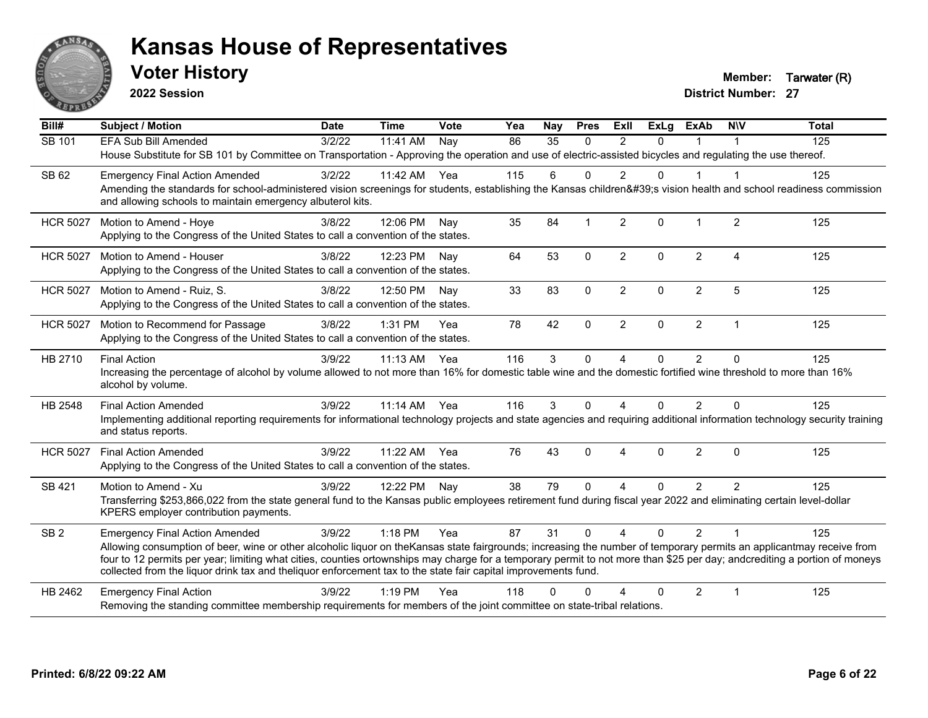

**2022 Session**

**Voter History Member: Tarwater (R)** 

| Bill#           | <b>Subject / Motion</b>                                                                                                                                                                                                                                                                                                                                                                                                                                             | <b>Date</b> | <b>Time</b> | Vote | Yea | Nay      | <b>Pres</b>    | ExII           | <b>ExLg</b> | <b>ExAb</b>    | <b>NIV</b>     | <b>Total</b> |
|-----------------|---------------------------------------------------------------------------------------------------------------------------------------------------------------------------------------------------------------------------------------------------------------------------------------------------------------------------------------------------------------------------------------------------------------------------------------------------------------------|-------------|-------------|------|-----|----------|----------------|----------------|-------------|----------------|----------------|--------------|
| SB 101          | EFA Sub Bill Amended                                                                                                                                                                                                                                                                                                                                                                                                                                                | 3/2/22      | 11:41 AM    | Nay  | 86  | 35       | $\Omega$       | $\mathfrak{p}$ | $\Omega$    |                |                | 125          |
|                 | House Substitute for SB 101 by Committee on Transportation - Approving the operation and use of electric-assisted bicycles and regulating the use thereof.                                                                                                                                                                                                                                                                                                          |             |             |      |     |          |                |                |             |                |                |              |
| SB 62           | <b>Emergency Final Action Amended</b>                                                                                                                                                                                                                                                                                                                                                                                                                               | 3/2/22      | 11:42 AM    | Yea  | 115 | 6        | $\Omega$       | $\overline{2}$ | $\Omega$    | $\mathbf{1}$   | -1             | 125          |
|                 | Amending the standards for school-administered vision screenings for students, establishing the Kansas children's vision health and school readiness commission<br>and allowing schools to maintain emergency albuterol kits.                                                                                                                                                                                                                                       |             |             |      |     |          |                |                |             |                |                |              |
| <b>HCR 5027</b> | Motion to Amend - Hoye                                                                                                                                                                                                                                                                                                                                                                                                                                              | 3/8/22      | 12:06 PM    | Nav  | 35  | 84       | $\overline{1}$ | 2              | $\Omega$    | $\mathbf 1$    | $\overline{2}$ | 125          |
|                 | Applying to the Congress of the United States to call a convention of the states.                                                                                                                                                                                                                                                                                                                                                                                   |             |             |      |     |          |                |                |             |                |                |              |
| <b>HCR 5027</b> | Motion to Amend - Houser                                                                                                                                                                                                                                                                                                                                                                                                                                            | 3/8/22      | 12:23 PM    | Nav  | 64  | 53       | $\mathbf 0$    | $\overline{2}$ | $\Omega$    | $\overline{2}$ | $\overline{4}$ | 125          |
|                 | Applying to the Congress of the United States to call a convention of the states.                                                                                                                                                                                                                                                                                                                                                                                   |             |             |      |     |          |                |                |             |                |                |              |
| <b>HCR 5027</b> | Motion to Amend - Ruiz, S.                                                                                                                                                                                                                                                                                                                                                                                                                                          | 3/8/22      | 12:50 PM    | Nav  | 33  | 83       | $\mathbf 0$    | $\overline{2}$ | 0           | $\overline{2}$ | 5              | 125          |
|                 | Applying to the Congress of the United States to call a convention of the states.                                                                                                                                                                                                                                                                                                                                                                                   |             |             |      |     |          |                |                |             |                |                |              |
| <b>HCR 5027</b> | Motion to Recommend for Passage                                                                                                                                                                                                                                                                                                                                                                                                                                     | 3/8/22      | 1:31 PM     | Yea  | 78  | 42       | $\mathbf{0}$   | $\overline{2}$ | $\Omega$    | $\overline{2}$ | $\overline{1}$ | 125          |
|                 | Applying to the Congress of the United States to call a convention of the states.                                                                                                                                                                                                                                                                                                                                                                                   |             |             |      |     |          |                |                |             |                |                |              |
| HB 2710         | <b>Final Action</b>                                                                                                                                                                                                                                                                                                                                                                                                                                                 | 3/9/22      | $11:13$ AM  | Yea  | 116 | 3        | $\Omega$       | $\overline{A}$ | 0           | $\overline{2}$ | $\Omega$       | 125          |
|                 | Increasing the percentage of alcohol by volume allowed to not more than 16% for domestic table wine and the domestic fortified wine threshold to more than 16%<br>alcohol by volume.                                                                                                                                                                                                                                                                                |             |             |      |     |          |                |                |             |                |                |              |
| HB 2548         | <b>Final Action Amended</b>                                                                                                                                                                                                                                                                                                                                                                                                                                         | 3/9/22      | $11:14$ AM  | Yea  | 116 | 3        | $\Omega$       | 4              | 0           | 2              | $\Omega$       | 125          |
|                 | Implementing additional reporting requirements for informational technology projects and state agencies and requiring additional information technology security training<br>and status reports.                                                                                                                                                                                                                                                                    |             |             |      |     |          |                |                |             |                |                |              |
| <b>HCR 5027</b> | <b>Final Action Amended</b>                                                                                                                                                                                                                                                                                                                                                                                                                                         | 3/9/22      | 11:22 AM    | Yea  | 76  | 43       | $\Omega$       | 4              | $\Omega$    | 2              | $\Omega$       | 125          |
|                 | Applying to the Congress of the United States to call a convention of the states.                                                                                                                                                                                                                                                                                                                                                                                   |             |             |      |     |          |                |                |             |                |                |              |
| SB 421          | Motion to Amend - Xu                                                                                                                                                                                                                                                                                                                                                                                                                                                | 3/9/22      | 12:22 PM    | Nay  | 38  | 79       | $\Omega$       | 4              | $\Omega$    | $\overline{2}$ | $\overline{2}$ | 125          |
|                 | Transferring \$253,866,022 from the state general fund to the Kansas public employees retirement fund during fiscal year 2022 and eliminating certain level-dollar<br>KPERS employer contribution payments.                                                                                                                                                                                                                                                         |             |             |      |     |          |                |                |             |                |                |              |
| SB <sub>2</sub> | <b>Emergency Final Action Amended</b>                                                                                                                                                                                                                                                                                                                                                                                                                               | 3/9/22      | 1:18 PM     | Yea  | 87  | 31       | $\Omega$       | $\overline{4}$ | $\Omega$    | $\mathcal{P}$  | $\overline{1}$ | 125          |
|                 | Allowing consumption of beer, wine or other alcoholic liquor on theKansas state fairgrounds; increasing the number of temporary permits an applicantmay receive from<br>four to 12 permits per year; limiting what cities, counties ortownships may charge for a temporary permit to not more than \$25 per day; andcrediting a portion of moneys<br>collected from the liquor drink tax and theliquor enforcement tax to the state fair capital improvements fund. |             |             |      |     |          |                |                |             |                |                |              |
| HB 2462         | <b>Emergency Final Action</b>                                                                                                                                                                                                                                                                                                                                                                                                                                       | 3/9/22      | $1:19$ PM   | Yea  | 118 | $\Omega$ | O              |                | $\Omega$    | $\overline{2}$ | $\overline{1}$ | 125          |
|                 | Removing the standing committee membership requirements for members of the joint committee on state-tribal relations.                                                                                                                                                                                                                                                                                                                                               |             |             |      |     |          |                |                |             |                |                |              |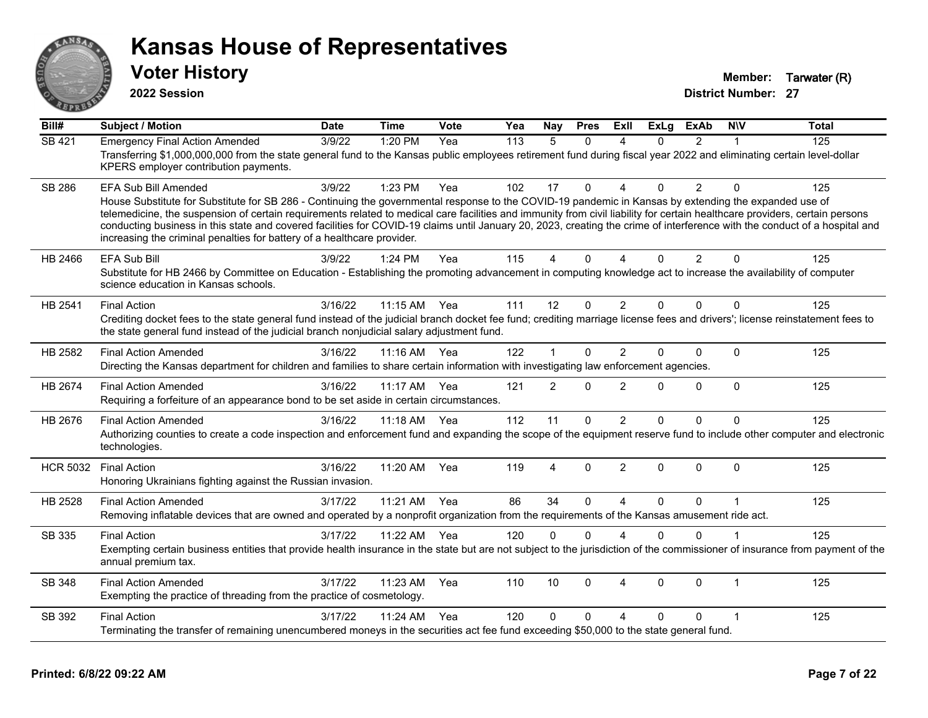

**2022 Session**

**Voter History Member: Tarwater (R)** 

| $\overline{BiII#}$ | <b>Subject / Motion</b>                                                                                                                                                                                                                                                                                                                                                                                                                                                                                                                                                                                                      | <b>Date</b> | <b>Time</b> | Vote | Yea | Nay            | <b>Pres</b>  | ExII                     | <b>ExLg</b> | <b>ExAb</b>    | <b>NIV</b>   | <b>Total</b> |
|--------------------|------------------------------------------------------------------------------------------------------------------------------------------------------------------------------------------------------------------------------------------------------------------------------------------------------------------------------------------------------------------------------------------------------------------------------------------------------------------------------------------------------------------------------------------------------------------------------------------------------------------------------|-------------|-------------|------|-----|----------------|--------------|--------------------------|-------------|----------------|--------------|--------------|
| <b>SB 421</b>      | <b>Emergency Final Action Amended</b><br>Transferring \$1,000,000,000 from the state general fund to the Kansas public employees retirement fund during fiscal year 2022 and eliminating certain level-dollar<br>KPERS employer contribution payments.                                                                                                                                                                                                                                                                                                                                                                       | 3/9/22      | 1:20 PM     | Yea  | 113 | 5              | $\Omega$     | $\boldsymbol{\Lambda}$   | $\Omega$    | $\mathfrak{p}$ |              | 125          |
| <b>SB 286</b>      | <b>EFA Sub Bill Amended</b><br>House Substitute for Substitute for SB 286 - Continuing the governmental response to the COVID-19 pandemic in Kansas by extending the expanded use of<br>telemedicine, the suspension of certain requirements related to medical care facilities and immunity from civil liability for certain healthcare providers, certain persons<br>conducting business in this state and covered facilities for COVID-19 claims until January 20, 2023, creating the crime of interference with the conduct of a hospital and<br>increasing the criminal penalties for battery of a healthcare provider. | 3/9/22      | 1:23 PM     | Yea  | 102 | 17             | $\Omega$     | $\lambda$                | 0           | $\overline{2}$ | $\Omega$     | 125          |
| HB 2466            | EFA Sub Bill<br>Substitute for HB 2466 by Committee on Education - Establishing the promoting advancement in computing knowledge act to increase the availability of computer<br>science education in Kansas schools.                                                                                                                                                                                                                                                                                                                                                                                                        | 3/9/22      | 1:24 PM     | Yea  | 115 | 4              | $\Omega$     | $\boldsymbol{\Lambda}$   | $\Omega$    | $\overline{2}$ | $\Omega$     | 125          |
| HB 2541            | <b>Final Action</b><br>Crediting docket fees to the state general fund instead of the judicial branch docket fee fund; crediting marriage license fees and drivers'; license reinstatement fees to<br>the state general fund instead of the judicial branch nonjudicial salary adjustment fund.                                                                                                                                                                                                                                                                                                                              | 3/16/22     | 11:15 AM    | Yea  | 111 | 12             | $\mathbf 0$  | $\overline{2}$           | 0           | $\Omega$       | $\Omega$     | 125          |
| HB 2582            | <b>Final Action Amended</b><br>Directing the Kansas department for children and families to share certain information with investigating law enforcement agencies.                                                                                                                                                                                                                                                                                                                                                                                                                                                           | 3/16/22     | $11:16$ AM  | Yea  | 122 | $\mathbf 1$    | $\mathbf{0}$ | $\overline{2}$           | 0           | $\mathbf 0$    | $\Omega$     | 125          |
| HB 2674            | <b>Final Action Amended</b><br>Requiring a forfeiture of an appearance bond to be set aside in certain circumstances.                                                                                                                                                                                                                                                                                                                                                                                                                                                                                                        | 3/16/22     | 11:17 AM    | Yea  | 121 | $\overline{2}$ | $\mathbf{0}$ | $\overline{2}$           | $\Omega$    | $\mathbf 0$    | $\Omega$     | 125          |
| HB 2676            | <b>Final Action Amended</b><br>Authorizing counties to create a code inspection and enforcement fund and expanding the scope of the equipment reserve fund to include other computer and electronic<br>technologies.                                                                                                                                                                                                                                                                                                                                                                                                         | 3/16/22     | 11:18 AM    | Yea  | 112 | 11             | $\mathbf 0$  | $\overline{2}$           | $\Omega$    | $\Omega$       | $\mathbf{0}$ | 125          |
| <b>HCR 5032</b>    | <b>Final Action</b><br>Honoring Ukrainians fighting against the Russian invasion.                                                                                                                                                                                                                                                                                                                                                                                                                                                                                                                                            | 3/16/22     | 11:20 AM    | Yea  | 119 | 4              | $\Omega$     | $\overline{2}$           | 0           | $\Omega$       | $\Omega$     | 125          |
| HB 2528            | <b>Final Action Amended</b><br>Removing inflatable devices that are owned and operated by a nonprofit organization from the requirements of the Kansas amusement ride act.                                                                                                                                                                                                                                                                                                                                                                                                                                                   | 3/17/22     | 11:21 AM    | Yea  | 86  | 34             | $\Omega$     | $\boldsymbol{\Lambda}$   | $\Omega$    | $\Omega$       |              | 125          |
| SB 335             | <b>Final Action</b><br>Exempting certain business entities that provide health insurance in the state but are not subject to the jurisdiction of the commissioner of insurance from payment of the<br>annual premium tax.                                                                                                                                                                                                                                                                                                                                                                                                    | 3/17/22     | 11:22 AM    | Yea  | 120 | $\mathbf{0}$   | $\mathbf{0}$ | $\boldsymbol{\varDelta}$ | $\Omega$    | $\Omega$       |              | 125          |
| SB 348             | <b>Final Action Amended</b><br>Exempting the practice of threading from the practice of cosmetology.                                                                                                                                                                                                                                                                                                                                                                                                                                                                                                                         | 3/17/22     | 11:23 AM    | Yea  | 110 | 10             | $\Omega$     | $\boldsymbol{\Lambda}$   | $\Omega$    | $\mathbf{0}$   | $\mathbf{1}$ | 125          |
| SB 392             | <b>Final Action</b><br>Terminating the transfer of remaining unencumbered moneys in the securities act fee fund exceeding \$50,000 to the state general fund.                                                                                                                                                                                                                                                                                                                                                                                                                                                                | 3/17/22     | 11:24 AM    | Yea  | 120 | $\Omega$       | $\Omega$     | $\boldsymbol{\Lambda}$   | 0           | $\Omega$       | -1           | 125          |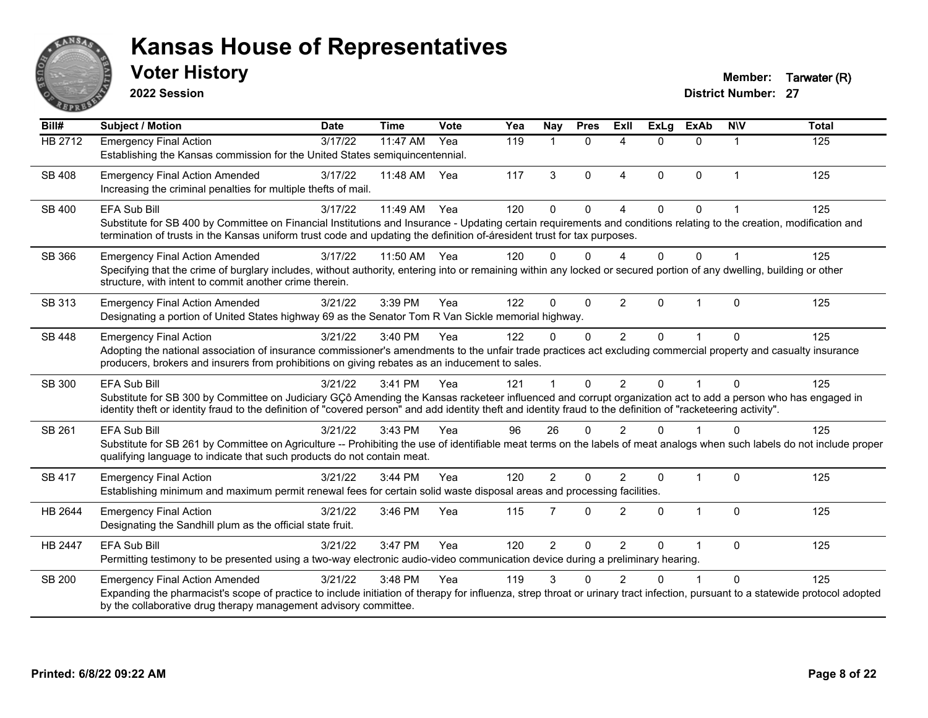

**2022 Session**

**Voter History Member: Tarwater (R)** 

| Bill#          | <b>Subject / Motion</b>                                                                                                                                                                                                                                                                                                                        | <b>Date</b> | <b>Time</b> | Vote | Yea | <b>Nay</b>     | <b>Pres</b>  | <b>ExII</b>            | <b>ExLg</b> | <b>ExAb</b>    | <b>NIV</b>  | <b>Total</b> |
|----------------|------------------------------------------------------------------------------------------------------------------------------------------------------------------------------------------------------------------------------------------------------------------------------------------------------------------------------------------------|-------------|-------------|------|-----|----------------|--------------|------------------------|-------------|----------------|-------------|--------------|
| <b>HB 2712</b> | <b>Emergency Final Action</b><br>Establishing the Kansas commission for the United States semiquincentennial.                                                                                                                                                                                                                                  | 3/17/22     | $11:47$ AM  | Yea  | 119 | $\mathbf{1}$   | $\mathbf{0}$ | $\boldsymbol{\Lambda}$ | $\Omega$    | $\Omega$       | $\mathbf 1$ | 125          |
| <b>SB 408</b>  | <b>Emergency Final Action Amended</b><br>Increasing the criminal penalties for multiple thefts of mail.                                                                                                                                                                                                                                        | 3/17/22     | 11:48 AM    | Yea  | 117 | 3              | $\mathbf{0}$ | $\boldsymbol{\Lambda}$ | 0           | $\Omega$       | 1           | 125          |
| SB 400         | EFA Sub Bill<br>Substitute for SB 400 by Committee on Financial Institutions and Insurance - Updating certain requirements and conditions relating to the creation, modification and<br>termination of trusts in the Kansas uniform trust code and updating the definition of-áresident trust for tax purposes.                                | 3/17/22     | 11:49 AM    | Yea  | 120 | $\Omega$       | $\Omega$     | $\lambda$              | $\Omega$    | $\Omega$       |             | 125          |
| SB 366         | <b>Emergency Final Action Amended</b><br>Specifying that the crime of burglary includes, without authority, entering into or remaining within any locked or secured portion of any dwelling, building or other<br>structure, with intent to commit another crime therein.                                                                      | 3/17/22     | 11:50 AM    | Yea  | 120 | $\Omega$       | $\Omega$     | 4                      | $\Omega$    | $\Omega$       |             | 125          |
| SB 313         | <b>Emergency Final Action Amended</b><br>Designating a portion of United States highway 69 as the Senator Tom R Van Sickle memorial highway.                                                                                                                                                                                                   | 3/21/22     | 3:39 PM     | Yea  | 122 | $\mathbf{0}$   | $\mathbf{0}$ | 2                      | 0           |                | $\Omega$    | 125          |
| <b>SB 448</b>  | <b>Emergency Final Action</b><br>Adopting the national association of insurance commissioner's amendments to the unfair trade practices act excluding commercial property and casualty insurance<br>producers, brokers and insurers from prohibitions on giving rebates as an inducement to sales.                                             | 3/21/22     | 3:40 PM     | Yea  | 122 | $\Omega$       | $\mathbf{0}$ | $\overline{2}$         | $\Omega$    |                | $\Omega$    | 125          |
| SB 300         | EFA Sub Bill<br>Substitute for SB 300 by Committee on Judiciary GÇô Amending the Kansas racketeer influenced and corrupt organization act to add a person who has engaged in<br>identity theft or identity fraud to the definition of "covered person" and add identity theft and identity fraud to the definition of "racketeering activity". | 3/21/22     | 3:41 PM     | Yea  | 121 |                | $\Omega$     | $\mathfrak{p}$         | $\Omega$    |                | $\Omega$    | 125          |
| SB 261         | EFA Sub Bill<br>Substitute for SB 261 by Committee on Agriculture -- Prohibiting the use of identifiable meat terms on the labels of meat analogs when such labels do not include proper<br>qualifying language to indicate that such products do not contain meat.                                                                            | 3/21/22     | 3:43 PM     | Yea  | 96  | 26             | $\Omega$     | $\mathfrak{p}$         | $\Omega$    |                | $\Omega$    | 125          |
| <b>SB 417</b>  | <b>Emergency Final Action</b><br>Establishing minimum and maximum permit renewal fees for certain solid waste disposal areas and processing facilities.                                                                                                                                                                                        | 3/21/22     | 3:44 PM     | Yea  | 120 | $\overline{2}$ | $\Omega$     | $\mathfrak{p}$         | 0           | $\overline{1}$ | $\mathbf 0$ | 125          |
| HB 2644        | <b>Emergency Final Action</b><br>Designating the Sandhill plum as the official state fruit.                                                                                                                                                                                                                                                    | 3/21/22     | 3:46 PM     | Yea  | 115 | 7              | $\Omega$     | 2                      | 0           | 1              | $\Omega$    | 125          |
| <b>HB 2447</b> | EFA Sub Bill<br>Permitting testimony to be presented using a two-way electronic audio-video communication device during a preliminary hearing.                                                                                                                                                                                                 | 3/21/22     | 3:47 PM     | Yea  | 120 | $\overline{2}$ | $\mathbf{0}$ | $\overline{2}$         | $\Omega$    |                | $\Omega$    | 125          |
| <b>SB 200</b>  | <b>Emergency Final Action Amended</b><br>Expanding the pharmacist's scope of practice to include initiation of therapy for influenza, strep throat or urinary tract infection, pursuant to a statewide protocol adopted<br>by the collaborative drug therapy management advisory committee.                                                    | 3/21/22     | 3:48 PM     | Yea  | 119 | 3              | $\Omega$     | $\mathcal{P}$          | ∩           |                | $\Omega$    | 125          |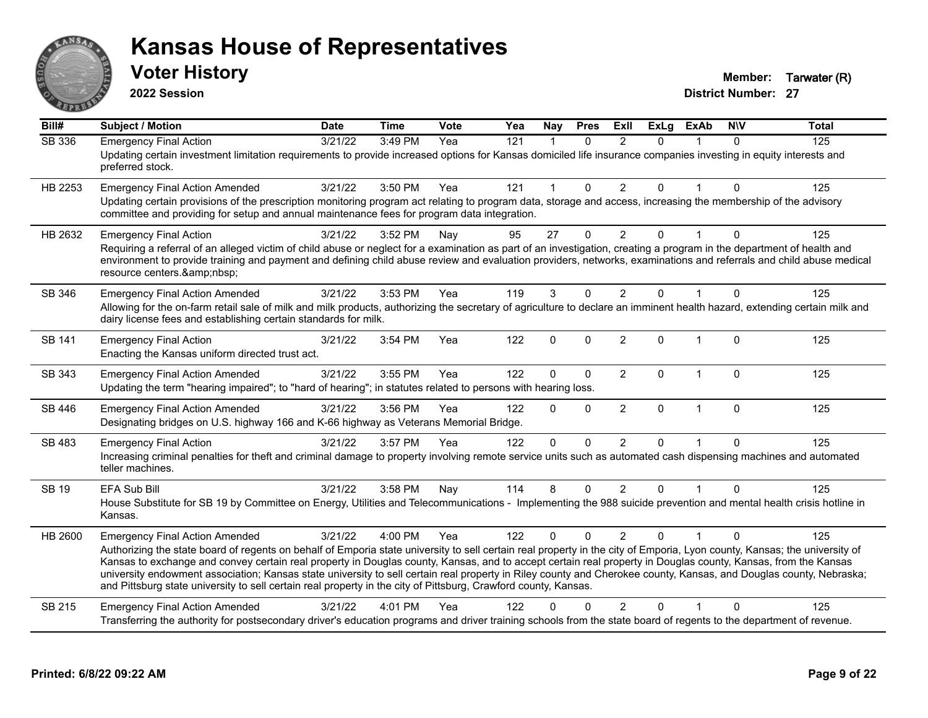

**2022 Session**

**District Number: 27 Voter History Music Contract Contract Contract Contract Contract Contract Contract Contract Contract Contract Contract Contract Contract Contract Contract Contract Contract Contract Contract Contract Contract Contract C** 

**Bill# Subject / Motion Date Time Vote Yea Nay Pres Exll ExLg ExAb N\V Total** SB 336 Emergency Final Action 3/21/22 3:49 PM Yea 121 1 0 2 0 1 0 125 Updating certain investment limitation requirements to provide increased options for Kansas domiciled life insurance companies investing in equity interests and preferred stock. HB 2253 Emergency Final Action Amended 3/21/22 3:50 PM Yea 121 1 0 2 0 1 0 125 Updating certain provisions of the prescription monitoring program act relating to program data, storage and access, increasing the membership of the advisory committee and providing for setup and annual maintenance fees for program data integration. HB 2632 Emergency Final Action 2012 3/21/22 3:52 PM Nay 30 27 0 2 0 1 0 125 Requiring a referral of an alleged victim of child abuse or neglect for a examination as part of an investigation, creating a program in the department of health and environment to provide training and payment and defining child abuse review and evaluation providers, networks, examinations and referrals and child abuse medical resource centers.&amp:nbsp: SB 346 Emergency Final Action Amended 3/21/22 3:53 PM Yea 119 3 0 2 0 1 0 125 Allowing for the on-farm retail sale of milk and milk products, authorizing the secretary of agriculture to declare an imminent health hazard, extending certain milk and dairy license fees and establishing certain standards for milk. SB 141 Emergency Final Action 2002 125 3/21/22 3:54 PM Yea 3122 0 0 2 0 1 0 125 Enacting the Kansas uniform directed trust act. SB 343 Emergency Final Action Amended 3/21/22 3:55 PM Yea 122 0 0 2 0 1 0 125 Updating the term "hearing impaired"; to "hard of hearing"; in statutes related to persons with hearing loss. SB 446 Emergency Final Action Amended 3/21/22 3:56 PM Yea 122 0 0 2 0 1 0 125 Designating bridges on U.S. highway 166 and K-66 highway as Veterans Memorial Bridge. SB 483 Emergency Final Action 3/21/22 3:57 PM Yea 122 0 0 2 0 1 0 125 Increasing criminal penalties for theft and criminal damage to property involving remote service units such as automated cash dispensing machines and automated teller machines. SB 19 EFA Sub Bill 3/21/22 3:58 PM Nay 114 8 0 2 0 1 0 125 House Substitute for SB 19 by Committee on Energy, Utilities and Telecommunications - Implementing the 988 suicide prevention and mental health crisis hotline in Kansas. HB 2600 Emergency Final Action Amended 3/21/22 4:00 PM Yea 122 0 0 2 0 1 0 125 Authorizing the state board of regents on behalf of Emporia state university to sell certain real property in the city of Emporia, Lyon county, Kansas; the university of Kansas to exchange and convey certain real property in Douglas county, Kansas, and to accept certain real property in Douglas county, Kansas, from the Kansas university endowment association; Kansas state university to sell certain real property in Riley county and Cherokee county, Kansas, and Douglas county, Nebraska; and Pittsburg state university to sell certain real property in the city of Pittsburg, Crawford county, Kansas. SB 215 Emergency Final Action Amended 3/21/22 4:01 PM Yea 122 0 0 2 0 1 0 125 Transferring the authority for postsecondary driver's education programs and driver training schools from the state board of regents to the department of revenue.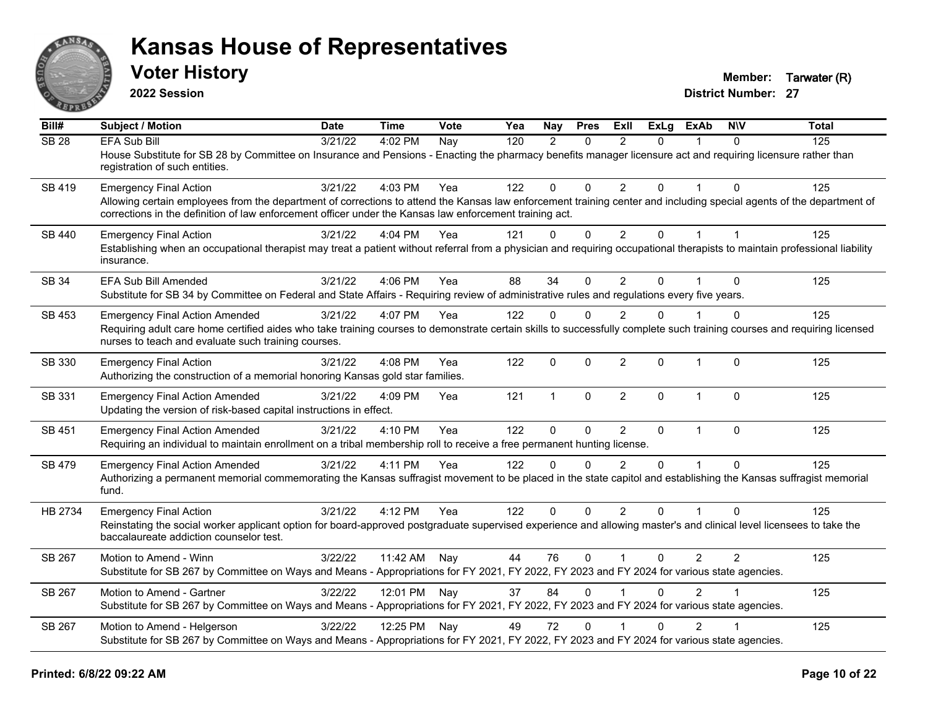

**2022 Session**

**Voter History Member: Tarwater (R)** 

| Bill#        | Subject / Motion                                                                                                                                                                                                                                                                | <b>Date</b> | <b>Time</b>  | <b>Vote</b> | Yea | Nay          | <b>Pres</b>  | Exll                    | <b>ExLg</b>    | <b>ExAb</b>    | <b>NIV</b> | <b>Total</b> |
|--------------|---------------------------------------------------------------------------------------------------------------------------------------------------------------------------------------------------------------------------------------------------------------------------------|-------------|--------------|-------------|-----|--------------|--------------|-------------------------|----------------|----------------|------------|--------------|
| <b>SB 28</b> | <b>EFA Sub Bill</b>                                                                                                                                                                                                                                                             | 3/21/22     | 4:02 PM      | Nay         | 120 | 2            | $\Omega$     | 2                       | $\Omega$       |                | $\Omega$   | 125          |
|              | House Substitute for SB 28 by Committee on Insurance and Pensions - Enacting the pharmacy benefits manager licensure act and requiring licensure rather than<br>registration of such entities.                                                                                  |             |              |             |     |              |              |                         |                |                |            |              |
| SB 419       | <b>Emergency Final Action</b>                                                                                                                                                                                                                                                   | 3/21/22     | 4:03 PM      | Yea         | 122 | 0            | $\Omega$     | 2                       | $\Omega$       |                | $\Omega$   | 125          |
|              | Allowing certain employees from the department of corrections to attend the Kansas law enforcement training center and including special agents of the department of<br>corrections in the definition of law enforcement officer under the Kansas law enforcement training act. |             |              |             |     |              |              |                         |                |                |            |              |
| SB 440       | <b>Emergency Final Action</b>                                                                                                                                                                                                                                                   | 3/21/22     | 4:04 PM      | Yea         | 121 | $\mathbf{0}$ | $\mathbf 0$  | $\overline{2}$          | $\overline{0}$ | 1              |            | 125          |
|              | Establishing when an occupational therapist may treat a patient without referral from a physician and requiring occupational therapists to maintain professional liability<br>insurance.                                                                                        |             |              |             |     |              |              |                         |                |                |            |              |
| SB 34        | EFA Sub Bill Amended                                                                                                                                                                                                                                                            | 3/21/22     | 4:06 PM      | Yea         | 88  | 34           | $\Omega$     | $\overline{2}$          | 0              |                | $\Omega$   | 125          |
|              | Substitute for SB 34 by Committee on Federal and State Affairs - Requiring review of administrative rules and regulations every five years.                                                                                                                                     |             |              |             |     |              |              |                         |                |                |            |              |
| SB 453       | <b>Emergency Final Action Amended</b>                                                                                                                                                                                                                                           | 3/21/22     | 4:07 PM      | Yea         | 122 | $\mathbf{0}$ | $\Omega$     | 2                       | $\Omega$       |                | $\Omega$   | 125          |
|              | Requiring adult care home certified aides who take training courses to demonstrate certain skills to successfully complete such training courses and requiring licensed<br>nurses to teach and evaluate such training courses.                                                  |             |              |             |     |              |              |                         |                |                |            |              |
| SB 330       | <b>Emergency Final Action</b><br>Authorizing the construction of a memorial honoring Kansas gold star families.                                                                                                                                                                 | 3/21/22     | 4:08 PM      | Yea         | 122 | $\mathbf{0}$ | $\mathbf{0}$ | $\overline{2}$          | 0              | $\mathbf{1}$   | $\Omega$   | 125          |
| SB 331       | <b>Emergency Final Action Amended</b>                                                                                                                                                                                                                                           | 3/21/22     | 4:09 PM      | Yea         | 121 | $\mathbf{1}$ | $\mathbf 0$  | $\overline{2}$          | $\Omega$       | $\overline{1}$ | $\Omega$   | 125          |
|              | Updating the version of risk-based capital instructions in effect.                                                                                                                                                                                                              |             |              |             |     |              |              |                         |                |                |            |              |
| SB 451       | <b>Emergency Final Action Amended</b>                                                                                                                                                                                                                                           | 3/21/22     | 4:10 PM      | Yea         | 122 | $\mathbf 0$  | $\mathbf 0$  | 2                       | $\mathbf{0}$   | 1              | $\Omega$   | 125          |
|              | Requiring an individual to maintain enrollment on a tribal membership roll to receive a free permanent hunting license.                                                                                                                                                         |             |              |             |     |              |              |                         |                |                |            |              |
| SB 479       | <b>Emergency Final Action Amended</b>                                                                                                                                                                                                                                           | 3/21/22     | 4:11 PM      | Yea         | 122 | $\Omega$     | $\Omega$     | $\mathfrak{p}$          | $\Omega$       |                | $\Omega$   | 125          |
|              | Authorizing a permanent memorial commemorating the Kansas suffragist movement to be placed in the state capitol and establishing the Kansas suffragist memorial<br>fund.                                                                                                        |             |              |             |     |              |              |                         |                |                |            |              |
| HB 2734      | <b>Emergency Final Action</b>                                                                                                                                                                                                                                                   | 3/21/22     | 4:12 PM      | Yea         | 122 | $\mathbf{0}$ | $\mathbf{0}$ | 2                       | $\Omega$       |                | $\Omega$   | 125          |
|              | Reinstating the social worker applicant option for board-approved postgraduate supervised experience and allowing master's and clinical level licensees to take the<br>baccalaureate addiction counselor test.                                                                  |             |              |             |     |              |              |                         |                |                |            |              |
| SB 267       | Motion to Amend - Winn                                                                                                                                                                                                                                                          | 3/22/22     | 11:42 AM     | Nay         | 44  | 76           | $\mathbf{0}$ | $\overline{\mathbf{1}}$ | 0              | $\overline{2}$ | 2          | 125          |
|              | Substitute for SB 267 by Committee on Ways and Means - Appropriations for FY 2021, FY 2022, FY 2023 and FY 2024 for various state agencies.                                                                                                                                     |             |              |             |     |              |              |                         |                |                |            |              |
| SB 267       | Motion to Amend - Gartner                                                                                                                                                                                                                                                       | 3/22/22     | 12:01 PM Nay |             | 37  | 84           | $\mathbf{0}$ |                         | 0              | $\overline{2}$ |            | 125          |
|              | Substitute for SB 267 by Committee on Ways and Means - Appropriations for FY 2021, FY 2022, FY 2023 and FY 2024 for various state agencies.                                                                                                                                     |             |              |             |     |              |              |                         |                |                |            |              |
| SB 267       | Motion to Amend - Helgerson                                                                                                                                                                                                                                                     | 3/22/22     | 12:25 PM Nay |             | 49  | 72           | $\mathbf{0}$ |                         | $\Omega$       | $\overline{2}$ |            | 125          |
|              | Substitute for SB 267 by Committee on Ways and Means - Appropriations for FY 2021, FY 2022, FY 2023 and FY 2024 for various state agencies.                                                                                                                                     |             |              |             |     |              |              |                         |                |                |            |              |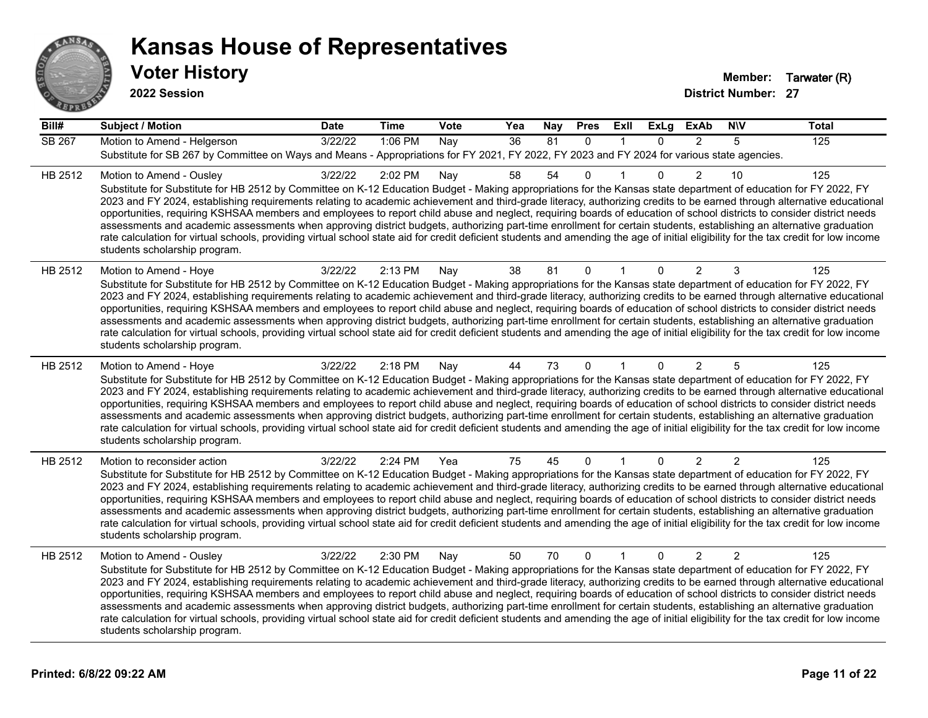

**2022 Session**

| Bill#   | <b>Subject / Motion</b>                                                                                                                                                                                                                                                                                                                                                                                                                                                                                                                                                                                                                                                                                                                                                                                                                                                                                                                             | <b>Date</b> | <b>Time</b> | Vote | Yea | <b>Nay</b> | <b>Pres</b>  | Exll         | ExLg         | <b>ExAb</b>    | <b>NIV</b>     | <b>Total</b> |
|---------|-----------------------------------------------------------------------------------------------------------------------------------------------------------------------------------------------------------------------------------------------------------------------------------------------------------------------------------------------------------------------------------------------------------------------------------------------------------------------------------------------------------------------------------------------------------------------------------------------------------------------------------------------------------------------------------------------------------------------------------------------------------------------------------------------------------------------------------------------------------------------------------------------------------------------------------------------------|-------------|-------------|------|-----|------------|--------------|--------------|--------------|----------------|----------------|--------------|
| SB 267  | Motion to Amend - Helgerson<br>Substitute for SB 267 by Committee on Ways and Means - Appropriations for FY 2021, FY 2022, FY 2023 and FY 2024 for various state agencies.                                                                                                                                                                                                                                                                                                                                                                                                                                                                                                                                                                                                                                                                                                                                                                          | 3/22/22     | 1:06 PM     | Nay  | 36  | 81         | $\mathbf{0}$ |              | $\mathbf{0}$ | 2              | 5              | 125          |
| HB 2512 | Motion to Amend - Ousley<br>Substitute for Substitute for HB 2512 by Committee on K-12 Education Budget - Making appropriations for the Kansas state department of education for FY 2022, FY<br>2023 and FY 2024, establishing requirements relating to academic achievement and third-grade literacy, authorizing credits to be earned through alternative educational<br>opportunities, requiring KSHSAA members and employees to report child abuse and neglect, requiring boards of education of school districts to consider district needs<br>assessments and academic assessments when approving district budgets, authorizing part-time enrollment for certain students, establishing an alternative graduation<br>rate calculation for virtual schools, providing virtual school state aid for credit deficient students and amending the age of initial eligibility for the tax credit for low income<br>students scholarship program.    | 3/22/22     | 2:02 PM     | Nay  | 58  | 54         | 0            |              | $\Omega$     | $\overline{2}$ | 10             | 125          |
| HB 2512 | Motion to Amend - Hoye<br>Substitute for Substitute for HB 2512 by Committee on K-12 Education Budget - Making appropriations for the Kansas state department of education for FY 2022, FY<br>2023 and FY 2024, establishing requirements relating to academic achievement and third-grade literacy, authorizing credits to be earned through alternative educational<br>opportunities, requiring KSHSAA members and employees to report child abuse and neglect, requiring boards of education of school districts to consider district needs<br>assessments and academic assessments when approving district budgets, authorizing part-time enrollment for certain students, establishing an alternative graduation<br>rate calculation for virtual schools, providing virtual school state aid for credit deficient students and amending the age of initial eligibility for the tax credit for low income<br>students scholarship program.      | 3/22/22     | 2:13 PM     | Nay  | 38  | 81         | $\mathbf{0}$ |              | 0            | 2              | 3              | 125          |
| HB 2512 | Motion to Amend - Hoye<br>Substitute for Substitute for HB 2512 by Committee on K-12 Education Budget - Making appropriations for the Kansas state department of education for FY 2022, FY<br>2023 and FY 2024, establishing requirements relating to academic achievement and third-grade literacy, authorizing credits to be earned through alternative educational<br>opportunities, requiring KSHSAA members and employees to report child abuse and neglect, requiring boards of education of school districts to consider district needs<br>assessments and academic assessments when approving district budgets, authorizing part-time enrollment for certain students, establishing an alternative graduation<br>rate calculation for virtual schools, providing virtual school state aid for credit deficient students and amending the age of initial eligibility for the tax credit for low income<br>students scholarship program.      | 3/22/22     | 2:18 PM     | Nay  | 44  | 73         | $\mathbf{0}$ |              | $\Omega$     | $\overline{2}$ | 5              | 125          |
| HB 2512 | Motion to reconsider action<br>Substitute for Substitute for HB 2512 by Committee on K-12 Education Budget - Making appropriations for the Kansas state department of education for FY 2022, FY<br>2023 and FY 2024, establishing requirements relating to academic achievement and third-grade literacy, authorizing credits to be earned through alternative educational<br>opportunities, requiring KSHSAA members and employees to report child abuse and neglect, requiring boards of education of school districts to consider district needs<br>assessments and academic assessments when approving district budgets, authorizing part-time enrollment for certain students, establishing an alternative graduation<br>rate calculation for virtual schools, providing virtual school state aid for credit deficient students and amending the age of initial eligibility for the tax credit for low income<br>students scholarship program. | 3/22/22     | 2:24 PM     | Yea  | 75  | 45         | 0            |              | 0            | $\overline{2}$ | $\overline{2}$ | 125          |
| HB 2512 | Motion to Amend - Ousley<br>Substitute for Substitute for HB 2512 by Committee on K-12 Education Budget - Making appropriations for the Kansas state department of education for FY 2022, FY<br>2023 and FY 2024, establishing requirements relating to academic achievement and third-grade literacy, authorizing credits to be earned through alternative educational<br>opportunities, requiring KSHSAA members and employees to report child abuse and neglect, requiring boards of education of school districts to consider district needs<br>assessments and academic assessments when approving district budgets, authorizing part-time enrollment for certain students, establishing an alternative graduation<br>rate calculation for virtual schools, providing virtual school state aid for credit deficient students and amending the age of initial eligibility for the tax credit for low income<br>students scholarship program.    | 3/22/22     | 2:30 PM     | Nay  | 50  | 70         | $\mathbf{0}$ | $\mathbf{1}$ | $\Omega$     | 2              | $\overline{2}$ | 125          |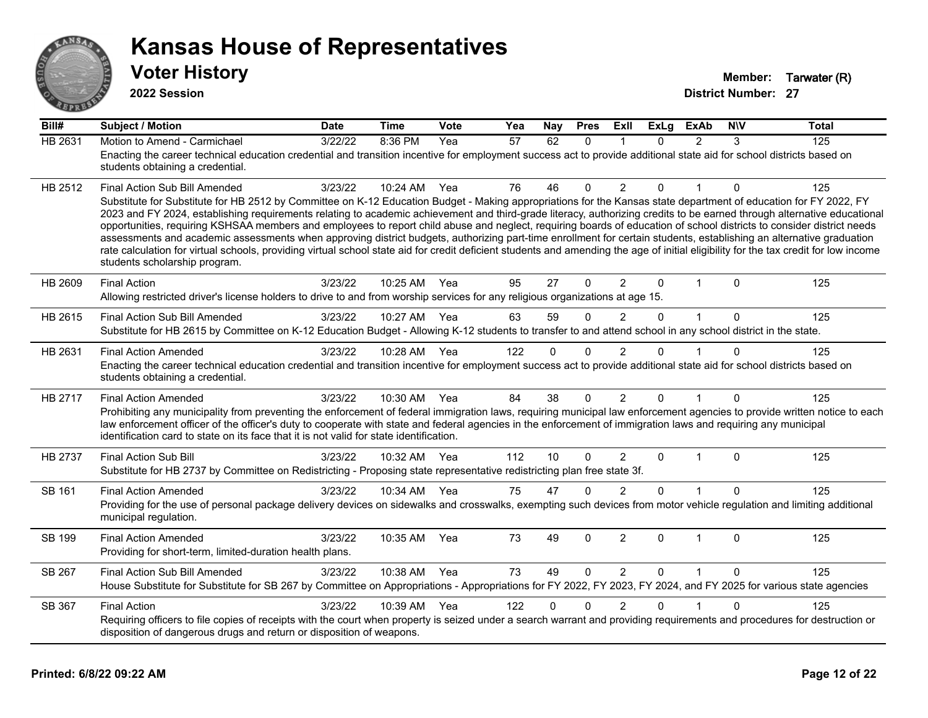

**2022 Session**

**Bill# Subject / Motion Date Time Vote Yea Nay Pres Exll ExLg ExAb N\V Total** HB 2631 Motion to Amend - Carmichael 3/22/22 8:36 PM Yea 57 62 0 1 0 2 3 125 Enacting the career technical education credential and transition incentive for employment success act to provide additional state aid for school districts based on students obtaining a credential. HB 2512 Final Action Sub Bill Amended 3/23/22 10:24 AM Yea 76 46 0 2 0 1 0 125 Substitute for Substitute for HB 2512 by Committee on K-12 Education Budget - Making appropriations for the Kansas state department of education for FY 2022, FY 2023 and FY 2024, establishing requirements relating to academic achievement and third-grade literacy, authorizing credits to be earned through alternative educational opportunities, requiring KSHSAA members and employees to report child abuse and neglect, requiring boards of education of school districts to consider district needs assessments and academic assessments when approving district budgets, authorizing part-time enrollment for certain students, establishing an alternative graduation rate calculation for virtual schools, providing virtual school state aid for credit deficient students and amending the age of initial eligibility for the tax credit for low income students scholarship program. HB 2609 Final Action 3/23/22 10:25 AM Yea 95 27 0 2 0 1 0 125 Allowing restricted driver's license holders to drive to and from worship services for any religious organizations at age 15. HB 2615 Final Action Sub Bill Amended 3/23/22 10:27 AM Yea 63 59 0 2 0 1 0 125 Substitute for HB 2615 by Committee on K-12 Education Budget - Allowing K-12 students to transfer to and attend school in any school district in the state. HB 2631 Final Action Amended 3/23/22 10:28 AM Yea 122 0 0 2 0 1 0 125 Enacting the career technical education credential and transition incentive for employment success act to provide additional state aid for school districts based on students obtaining a credential. HB 2717 Final Action Amended 3/23/22 10:30 AM Yea 84 38 0 2 0 1 0 125 Prohibiting any municipality from preventing the enforcement of federal immigration laws, requiring municipal law enforcement agencies to provide written notice to each law enforcement officer of the officer's duty to cooperate with state and federal agencies in the enforcement of immigration laws and requiring any municipal identification card to state on its face that it is not valid for state identification. HB 2737 Final Action Sub Bill 3/23/22 10:32 AM Yea 112 10 0 2 0 1 0 125 Substitute for HB 2737 by Committee on Redistricting - Proposing state representative redistricting plan free state 3f. SB 161 Final Action Amended a and the 3/23/22 10:34 AM Yea to 75 the 47 to 0 2 to 0 1 to 125 Providing for the use of personal package delivery devices on sidewalks and crosswalks, exempting such devices from motor vehicle regulation and limiting additional municipal regulation. SB 199 Final Action Amended a and 3/23/22 10:35 AM Yea a 23 49 0 2 0 1 0 125 Providing for short-term, limited-duration health plans. SB 267 Final Action Sub Bill Amended 3/23/22 10:38 AM Yea 73 49 0 2 0 1 0 125 House Substitute for Substitute for SB 267 by Committee on Appropriations - Appropriations for FY 2022, FY 2023, FY 2024, and FY 2025 for various state agencies SB 367 Final Action 3/23/22 10:39 AM Yea 122 0 2 0 1 0 125 Requiring officers to file copies of receipts with the court when property is seized under a search warrant and providing requirements and procedures for destruction or disposition of dangerous drugs and return or disposition of weapons.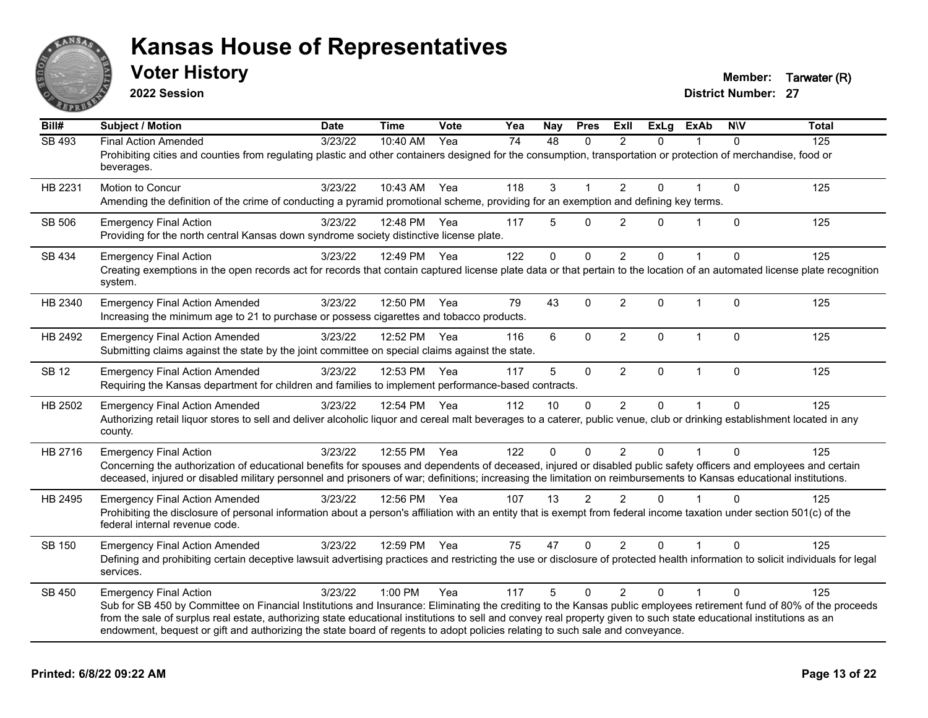

**2022 Session**

**Voter History Member: Tarwater (R)** 

| Bill#         | <b>Subject / Motion</b>                                                                                                                                                                                                                                                                                                                                                                                                                                                                                        | <b>Date</b> | <b>Time</b>  | Vote | Yea | Nay         | <b>Pres</b>  | ExIl           | <b>ExLg</b> | <b>ExAb</b>  | <b>NIV</b>   | <b>Total</b> |
|---------------|----------------------------------------------------------------------------------------------------------------------------------------------------------------------------------------------------------------------------------------------------------------------------------------------------------------------------------------------------------------------------------------------------------------------------------------------------------------------------------------------------------------|-------------|--------------|------|-----|-------------|--------------|----------------|-------------|--------------|--------------|--------------|
| <b>SB 493</b> | <b>Final Action Amended</b><br>Prohibiting cities and counties from regulating plastic and other containers designed for the consumption, transportation or protection of merchandise, food or<br>beverages.                                                                                                                                                                                                                                                                                                   | 3/23/22     | 10:40 AM     | Yea  | 74  | 48          | 0            | 2              | 0           |              | $\Omega$     | 125          |
| HB 2231       | Motion to Concur<br>Amending the definition of the crime of conducting a pyramid promotional scheme, providing for an exemption and defining key terms.                                                                                                                                                                                                                                                                                                                                                        | 3/23/22     | 10:43 AM     | Yea  | 118 | 3           |              | 2              | $\Omega$    |              | $\mathbf 0$  | 125          |
| SB 506        | <b>Emergency Final Action</b><br>Providing for the north central Kansas down syndrome society distinctive license plate.                                                                                                                                                                                                                                                                                                                                                                                       | 3/23/22     | 12:48 PM     | Yea  | 117 | 5           | $\Omega$     | $\overline{2}$ | $\Omega$    | $\mathbf{1}$ | $\mathbf{0}$ | 125          |
| SB 434        | <b>Emergency Final Action</b><br>Creating exemptions in the open records act for records that contain captured license plate data or that pertain to the location of an automated license plate recognition<br>system.                                                                                                                                                                                                                                                                                         | 3/23/22     | 12:49 PM     | Yea  | 122 | $\Omega$    | $\mathbf 0$  | 2              | $\Omega$    | $\mathbf{1}$ | $\Omega$     | 125          |
| HB 2340       | <b>Emergency Final Action Amended</b><br>Increasing the minimum age to 21 to purchase or possess cigarettes and tobacco products.                                                                                                                                                                                                                                                                                                                                                                              | 3/23/22     | 12:50 PM     | Yea  | 79  | 43          | $\Omega$     | 2              | $\Omega$    | $\mathbf 1$  | $\mathbf{0}$ | 125          |
| HB 2492       | <b>Emergency Final Action Amended</b><br>Submitting claims against the state by the joint committee on special claims against the state.                                                                                                                                                                                                                                                                                                                                                                       | 3/23/22     | 12:52 PM     | Yea  | 116 | 6           | $\mathbf{0}$ | $\overline{2}$ | $\Omega$    | $\mathbf{1}$ | $\mathbf{0}$ | 125          |
| <b>SB 12</b>  | <b>Emergency Final Action Amended</b><br>Requiring the Kansas department for children and families to implement performance-based contracts.                                                                                                                                                                                                                                                                                                                                                                   | 3/23/22     | 12:53 PM     | Yea  | 117 | 5           | $\mathbf 0$  | $\overline{2}$ | $\mathbf 0$ | $\mathbf{1}$ | $\Omega$     | 125          |
| HB 2502       | <b>Emergency Final Action Amended</b><br>Authorizing retail liquor stores to sell and deliver alcoholic liquor and cereal malt beverages to a caterer, public venue, club or drinking establishment located in any<br>county.                                                                                                                                                                                                                                                                                  | 3/23/22     | 12:54 PM Yea |      | 112 | 10          | $\Omega$     | $\overline{2}$ | 0           |              | $\Omega$     | 125          |
| HB 2716       | <b>Emergency Final Action</b><br>Concerning the authorization of educational benefits for spouses and dependents of deceased, injured or disabled public safety officers and employees and certain<br>deceased, injured or disabled military personnel and prisoners of war; definitions; increasing the limitation on reimbursements to Kansas educational institutions.                                                                                                                                      | 3/23/22     | 12:55 PM Yea |      | 122 | $\mathbf 0$ | $\Omega$     | $\overline{2}$ | $\Omega$    |              | $\Omega$     | 125          |
| HB 2495       | <b>Emergency Final Action Amended</b><br>Prohibiting the disclosure of personal information about a person's affiliation with an entity that is exempt from federal income taxation under section 501(c) of the<br>federal internal revenue code.                                                                                                                                                                                                                                                              | 3/23/22     | 12:56 PM Yea |      | 107 | 13          | 2            | 2              | $\Omega$    |              | $\Omega$     | 125          |
| SB 150        | <b>Emergency Final Action Amended</b><br>Defining and prohibiting certain deceptive lawsuit advertising practices and restricting the use or disclosure of protected health information to solicit individuals for legal<br>services.                                                                                                                                                                                                                                                                          | 3/23/22     | 12:59 PM     | Yea  | 75  | 47          | $\mathbf{0}$ | $\overline{2}$ | 0           |              | 0            | 125          |
| SB 450        | <b>Emergency Final Action</b><br>Sub for SB 450 by Committee on Financial Institutions and Insurance: Eliminating the crediting to the Kansas public employees retirement fund of 80% of the proceeds<br>from the sale of surplus real estate, authorizing state educational institutions to sell and convey real property given to such state educational institutions as an<br>endowment, bequest or gift and authorizing the state board of regents to adopt policies relating to such sale and conveyance. | 3/23/22     | 1:00 PM      | Yea  | 117 | 5           | $\Omega$     | 2              | $\Omega$    | 1            | $\Omega$     | 125          |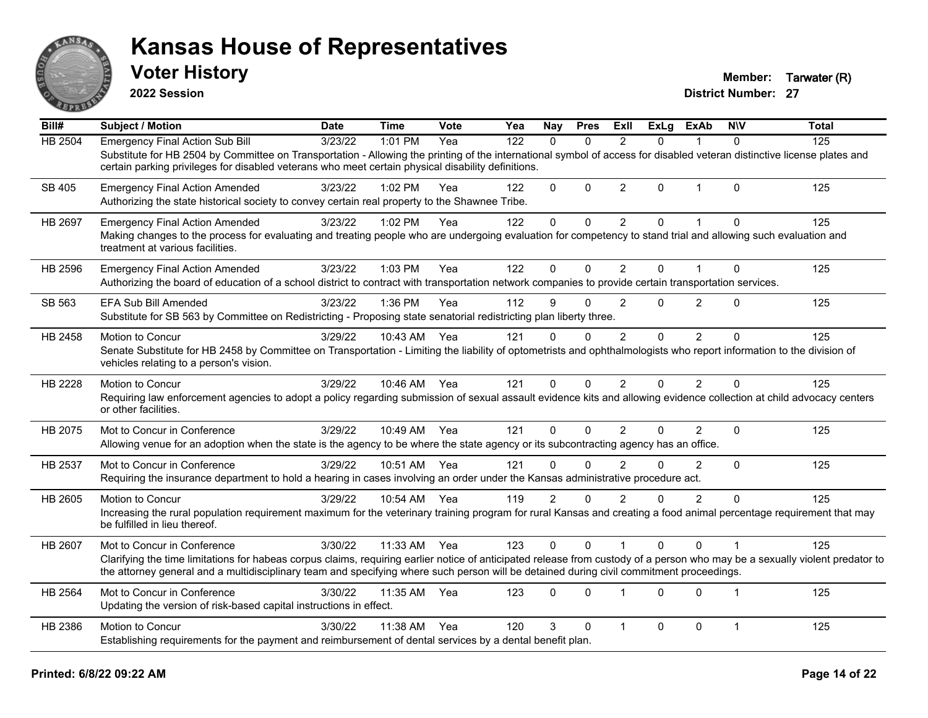

**2022 Session**

**Voter History Member: Tarwater (R)** 

| Bill#          | <b>Subject / Motion</b>                                                                                                                                                                                                                                                                                                                                 | <b>Date</b>      | <b>Time</b>  | Vote | Yea | <b>Nay</b>     | <b>Pres</b> | ExII           | <b>ExLg</b> | <b>ExAb</b>    | <b>NIV</b>     | <b>Total</b> |
|----------------|---------------------------------------------------------------------------------------------------------------------------------------------------------------------------------------------------------------------------------------------------------------------------------------------------------------------------------------------------------|------------------|--------------|------|-----|----------------|-------------|----------------|-------------|----------------|----------------|--------------|
| HB 2504        | <b>Emergency Final Action Sub Bill</b>                                                                                                                                                                                                                                                                                                                  | $\sqrt{3}/23/22$ | 1:01 PM      | Yea  | 122 | $\Omega$       | $\Omega$    | 2              | $\Omega$    |                | $\Omega$       | 125          |
|                | Substitute for HB 2504 by Committee on Transportation - Allowing the printing of the international symbol of access for disabled veteran distinctive license plates and<br>certain parking privileges for disabled veterans who meet certain physical disability definitions.                                                                           |                  |              |      |     |                |             |                |             |                |                |              |
| <b>SB 405</b>  | <b>Emergency Final Action Amended</b><br>Authorizing the state historical society to convey certain real property to the Shawnee Tribe.                                                                                                                                                                                                                 | 3/23/22          | 1:02 PM      | Yea  | 122 | $\mathbf{0}$   | $\mathbf 0$ | $\overline{2}$ | 0           | $\mathbf{1}$   | $\Omega$       | 125          |
| HB 2697        | <b>Emergency Final Action Amended</b><br>Making changes to the process for evaluating and treating people who are undergoing evaluation for competency to stand trial and allowing such evaluation and<br>treatment at various facilities.                                                                                                              | 3/23/22          | 1:02 PM      | Yea  | 122 | 0              | $\mathbf 0$ | $\overline{2}$ | 0           |                | $\Omega$       | 125          |
| HB 2596        | <b>Emergency Final Action Amended</b><br>Authorizing the board of education of a school district to contract with transportation network companies to provide certain transportation services.                                                                                                                                                          | 3/23/22          | 1:03 PM      | Yea  | 122 | $\mathbf{0}$   | $\Omega$    | $\overline{2}$ | $\Omega$    | 1              | $\mathbf 0$    | 125          |
| SB 563         | <b>EFA Sub Bill Amended</b><br>Substitute for SB 563 by Committee on Redistricting - Proposing state senatorial redistricting plan liberty three.                                                                                                                                                                                                       | 3/23/22          | 1:36 PM      | Yea  | 112 | 9              | 0           | $\overline{2}$ | 0           | $\overline{2}$ | $\Omega$       | 125          |
| HB 2458        | Motion to Concur<br>Senate Substitute for HB 2458 by Committee on Transportation - Limiting the liability of optometrists and ophthalmologists who report information to the division of<br>vehicles relating to a person's vision.                                                                                                                     | 3/29/22          | 10:43 AM     | Yea  | 121 | $\Omega$       | $\Omega$    | $\overline{2}$ | $\Omega$    | $\overline{2}$ | $\Omega$       | 125          |
| HB 2228        | Motion to Concur<br>Requiring law enforcement agencies to adopt a policy regarding submission of sexual assault evidence kits and allowing evidence collection at child advocacy centers<br>or other facilities.                                                                                                                                        | 3/29/22          | 10:46 AM Yea |      | 121 | $\mathbf{0}$   | $\Omega$    | $\overline{2}$ | $\Omega$    | $\overline{2}$ | $\mathbf{0}$   | 125          |
| HB 2075        | Mot to Concur in Conference<br>Allowing venue for an adoption when the state is the agency to be where the state agency or its subcontracting agency has an office.                                                                                                                                                                                     | 3/29/22          | 10:49 AM     | Yea  | 121 | $\Omega$       | $\Omega$    | $\overline{2}$ | $\Omega$    | $\overline{2}$ | $\mathbf 0$    | 125          |
| HB 2537        | Mot to Concur in Conference<br>Requiring the insurance department to hold a hearing in cases involving an order under the Kansas administrative procedure act.                                                                                                                                                                                          | 3/29/22          | 10:51 AM     | Yea  | 121 | $\mathbf{0}$   | $\Omega$    | $\overline{2}$ | $\Omega$    | 2              | $\mathbf{0}$   | 125          |
| HB 2605        | Motion to Concur<br>Increasing the rural population requirement maximum for the veterinary training program for rural Kansas and creating a food animal percentage requirement that may<br>be fulfilled in lieu thereof.                                                                                                                                | 3/29/22          | 10:54 AM     | Yea  | 119 | $\overline{2}$ | $\Omega$    | $\overline{2}$ | 0           | $\overline{2}$ | $\Omega$       | 125          |
| HB 2607        | Mot to Concur in Conference<br>Clarifying the time limitations for habeas corpus claims, requiring earlier notice of anticipated release from custody of a person who may be a sexually violent predator to<br>the attorney general and a multidisciplinary team and specifying where such person will be detained during civil commitment proceedings. | 3/30/22          | 11:33 AM     | Yea  | 123 | 0              | $\Omega$    |                | $\Omega$    | $\Omega$       |                | 125          |
| <b>HB 2564</b> | Mot to Concur in Conference<br>Updating the version of risk-based capital instructions in effect.                                                                                                                                                                                                                                                       | 3/30/22          | 11:35 AM     | Yea  | 123 | $\mathbf{0}$   | $\Omega$    |                | $\Omega$    | $\Omega$       | $\overline{1}$ | 125          |
| HB 2386        | Motion to Concur<br>Establishing requirements for the payment and reimbursement of dental services by a dental benefit plan.                                                                                                                                                                                                                            | 3/30/22          | 11:38 AM     | Yea  | 120 | 3              | $\Omega$    |                | 0           | $\mathbf 0$    | $\mathbf{1}$   | 125          |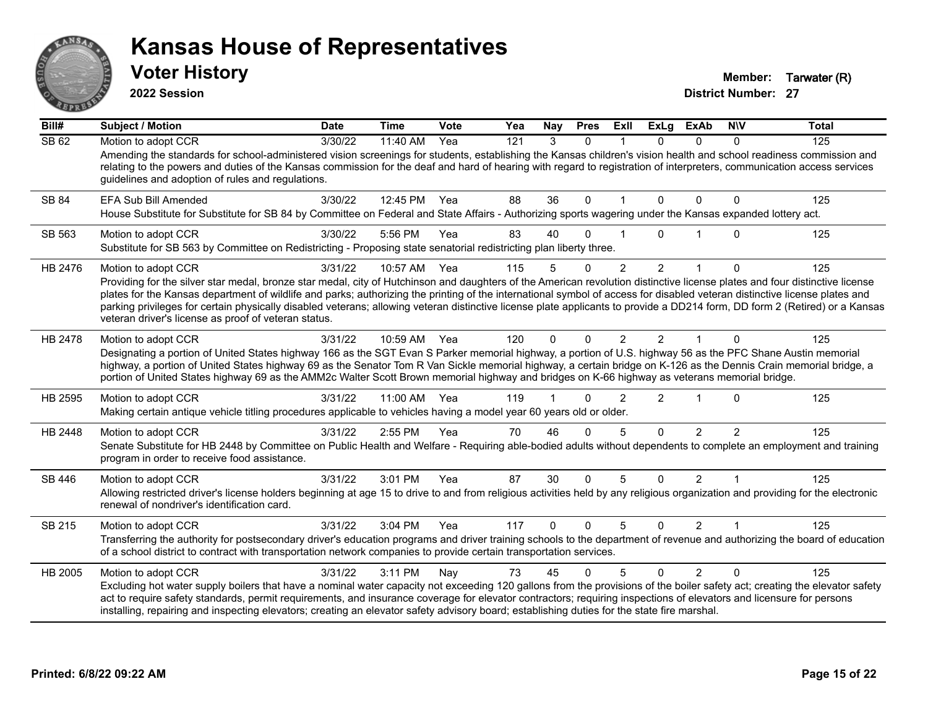

**2022 Session**

**Voter History Member: Tarwater (R)** 

| Bill#        | Subject / Motion                                                                                                                                                                                                                                                                                                                                                                                                                                                                                                                                                                                                        | <b>Date</b>      | <b>Time</b> | Vote | Yea | Nay      | <b>Pres</b> | ExII          | <b>ExLg</b>    | <b>ExAb</b>    | <b>NIV</b> | <b>Total</b> |
|--------------|-------------------------------------------------------------------------------------------------------------------------------------------------------------------------------------------------------------------------------------------------------------------------------------------------------------------------------------------------------------------------------------------------------------------------------------------------------------------------------------------------------------------------------------------------------------------------------------------------------------------------|------------------|-------------|------|-----|----------|-------------|---------------|----------------|----------------|------------|--------------|
| <b>SB 62</b> | Motion to adopt CCR<br>Amending the standards for school-administered vision screenings for students, establishing the Kansas children's vision health and school readiness commission and<br>relating to the powers and duties of the Kansas commission for the deaf and hard of hearing with regard to registration of interpreters, communication access services<br>guidelines and adoption of rules and regulations.                                                                                                                                                                                               | $\sqrt{3}/30/22$ | 11:40 AM    | Yea  | 121 | 3        | $\Omega$    |               | $\Omega$       | $\Omega$       | 0          | 125          |
| SB 84        | EFA Sub Bill Amended<br>House Substitute for Substitute for SB 84 by Committee on Federal and State Affairs - Authorizing sports wagering under the Kansas expanded lottery act.                                                                                                                                                                                                                                                                                                                                                                                                                                        | 3/30/22          | 12:45 PM    | Yea  | 88  | 36       | $\Omega$    |               | 0              | $\Omega$       | 0          | 125          |
| SB 563       | Motion to adopt CCR<br>Substitute for SB 563 by Committee on Redistricting - Proposing state senatorial redistricting plan liberty three.                                                                                                                                                                                                                                                                                                                                                                                                                                                                               | 3/30/22          | 5:56 PM     | Yea  | 83  | 40       | 0           |               | 0              |                | 0          | 125          |
| HB 2476      | Motion to adopt CCR<br>Providing for the silver star medal, bronze star medal, city of Hutchinson and daughters of the American revolution distinctive license plates and four distinctive license<br>plates for the Kansas department of wildlife and parks; authorizing the printing of the international symbol of access for disabled veteran distinctive license plates and<br>parking privileges for certain physically disabled veterans; allowing veteran distinctive license plate applicants to provide a DD214 form, DD form 2 (Retired) or a Kansas<br>veteran driver's license as proof of veteran status. | 3/31/22          | 10:57 AM    | Yea  | 115 | 5        | $\Omega$    | 2             | $\overline{2}$ | 1              | 0          | 125          |
| HB 2478      | Motion to adopt CCR<br>Designating a portion of United States highway 166 as the SGT Evan S Parker memorial highway, a portion of U.S. highway 56 as the PFC Shane Austin memorial<br>highway, a portion of United States highway 69 as the Senator Tom R Van Sickle memorial highway, a certain bridge on K-126 as the Dennis Crain memorial bridge, a<br>portion of United States highway 69 as the AMM2c Walter Scott Brown memorial highway and bridges on K-66 highway as veterans memorial bridge.                                                                                                                | 3/31/22          | 10:59 AM    | Yea  | 120 | 0        | $\Omega$    | 2             | $\mathcal{P}$  |                | 0          | 125          |
| HB 2595      | Motion to adopt CCR<br>Making certain antique vehicle titling procedures applicable to vehicles having a model year 60 years old or older.                                                                                                                                                                                                                                                                                                                                                                                                                                                                              | 3/31/22          | 11:00 AM    | Yea  | 119 |          | $\Omega$    | $\mathcal{P}$ | $\mathcal{P}$  |                | $\Omega$   | 125          |
| HB 2448      | Motion to adopt CCR<br>Senate Substitute for HB 2448 by Committee on Public Health and Welfare - Requiring able-bodied adults without dependents to complete an employment and training<br>program in order to receive food assistance.                                                                                                                                                                                                                                                                                                                                                                                 | 3/31/22          | 2:55 PM     | Yea  | 70  | 46       | $\Omega$    | 5             | $\Omega$       | $\overline{2}$ | 2          | 125          |
| SB 446       | Motion to adopt CCR<br>Allowing restricted driver's license holders beginning at age 15 to drive to and from religious activities held by any religious organization and providing for the electronic<br>renewal of nondriver's identification card.                                                                                                                                                                                                                                                                                                                                                                    | 3/31/22          | 3:01 PM     | Yea  | 87  | 30       | $\Omega$    | 5             | $\Omega$       | $\overline{2}$ |            | 125          |
| SB 215       | Motion to adopt CCR<br>Transferring the authority for postsecondary driver's education programs and driver training schools to the department of revenue and authorizing the board of education<br>of a school district to contract with transportation network companies to provide certain transportation services.                                                                                                                                                                                                                                                                                                   | 3/31/22          | 3:04 PM     | Yea  | 117 | $\Omega$ | $\Omega$    | 5             | $\Omega$       | $\overline{2}$ |            | 125          |
| HB 2005      | Motion to adopt CCR<br>Excluding hot water supply boilers that have a nominal water capacity not exceeding 120 gallons from the provisions of the boiler safety act; creating the elevator safety<br>act to require safety standards, permit requirements, and insurance coverage for elevator contractors; requiring inspections of elevators and licensure for persons<br>installing, repairing and inspecting elevators; creating an elevator safety advisory board; establishing duties for the state fire marshal.                                                                                                 | 3/31/22          | 3:11 PM     | Nay  | 73  | 45       | $\Omega$    | 5             | $\Omega$       | $\overline{2}$ | $\Omega$   | 125          |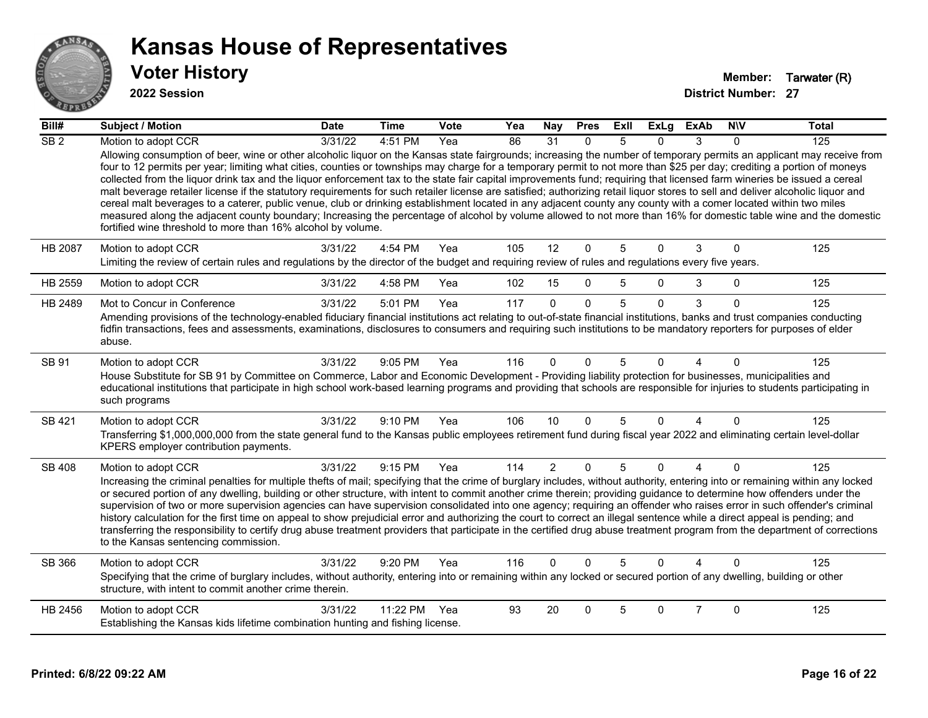

#### **2022 Session**

| Bill#           | <b>Subject / Motion</b>                                                                                                                                                                                                                                                                                                                                                                                                                                                                                                                                                                                                                                                                                                                                                                                                                                                                                                                                                                                                                                                                                                                          | <b>Date</b> | <b>Time</b> | Vote | Yea | Nay            | <b>Pres</b> | Exll | <b>ExLg</b> | <b>ExAb</b> | <b>NIV</b>  | <b>Total</b> |
|-----------------|--------------------------------------------------------------------------------------------------------------------------------------------------------------------------------------------------------------------------------------------------------------------------------------------------------------------------------------------------------------------------------------------------------------------------------------------------------------------------------------------------------------------------------------------------------------------------------------------------------------------------------------------------------------------------------------------------------------------------------------------------------------------------------------------------------------------------------------------------------------------------------------------------------------------------------------------------------------------------------------------------------------------------------------------------------------------------------------------------------------------------------------------------|-------------|-------------|------|-----|----------------|-------------|------|-------------|-------------|-------------|--------------|
| SB <sub>2</sub> | Motion to adopt CCR<br>Allowing consumption of beer, wine or other alcoholic liquor on the Kansas state fairgrounds; increasing the number of temporary permits an applicant may receive from<br>four to 12 permits per year; limiting what cities, counties or townships may charge for a temporary permit to not more than \$25 per day; crediting a portion of moneys<br>collected from the liquor drink tax and the liquor enforcement tax to the state fair capital improvements fund; requiring that licensed farm wineries be issued a cereal<br>malt beverage retailer license if the statutory requirements for such retailer license are satisfied; authorizing retail liquor stores to sell and deliver alcoholic liquor and<br>cereal malt beverages to a caterer, public venue, club or drinking establishment located in any adjacent county any county with a comer located within two miles<br>measured along the adjacent county boundary; Increasing the percentage of alcohol by volume allowed to not more than 16% for domestic table wine and the domestic<br>fortified wine threshold to more than 16% alcohol by volume. | 3/31/22     | 4:51 PM     | Yea  | 86  | 31             | $\Omega$    | 5    | 0           | 3           | $\Omega$    | 125          |
| <b>HB 2087</b>  | Motion to adopt CCR<br>Limiting the review of certain rules and regulations by the director of the budget and requiring review of rules and regulations every five years.                                                                                                                                                                                                                                                                                                                                                                                                                                                                                                                                                                                                                                                                                                                                                                                                                                                                                                                                                                        | 3/31/22     | 4:54 PM     | Yea  | 105 | 12             | $\mathbf 0$ | 5    | $\Omega$    | 3           | $\mathbf 0$ | 125          |
| HB 2559         | Motion to adopt CCR                                                                                                                                                                                                                                                                                                                                                                                                                                                                                                                                                                                                                                                                                                                                                                                                                                                                                                                                                                                                                                                                                                                              | 3/31/22     | 4:58 PM     | Yea  | 102 | 15             | $\Omega$    | 5    | 0           | 3           | $\Omega$    | 125          |
| HB 2489         | Mot to Concur in Conference<br>Amending provisions of the technology-enabled fiduciary financial institutions act relating to out-of-state financial institutions, banks and trust companies conducting<br>fidfin transactions, fees and assessments, examinations, disclosures to consumers and requiring such institutions to be mandatory reporters for purposes of elder<br>abuse.                                                                                                                                                                                                                                                                                                                                                                                                                                                                                                                                                                                                                                                                                                                                                           | 3/31/22     | 5:01 PM     | Yea  | 117 | $\Omega$       | $\Omega$    | 5    | $\Omega$    | 3           | $\Omega$    | 125          |
| SB 91           | Motion to adopt CCR<br>House Substitute for SB 91 by Committee on Commerce, Labor and Economic Development - Providing liability protection for businesses, municipalities and<br>educational institutions that participate in high school work-based learning programs and providing that schools are responsible for injuries to students participating in<br>such programs                                                                                                                                                                                                                                                                                                                                                                                                                                                                                                                                                                                                                                                                                                                                                                    | 3/31/22     | 9:05 PM     | Yea  | 116 | $\Omega$       | $\Omega$    | 5    | 0           |             | $\Omega$    | 125          |
| SB 421          | Motion to adopt CCR<br>Transferring \$1,000,000,000 from the state general fund to the Kansas public employees retirement fund during fiscal year 2022 and eliminating certain level-dollar<br>KPERS employer contribution payments.                                                                                                                                                                                                                                                                                                                                                                                                                                                                                                                                                                                                                                                                                                                                                                                                                                                                                                             | 3/31/22     | $9:10$ PM   | Yea  | 106 | 10             | $\Omega$    | 5    | $\Omega$    | 4           | $\Omega$    | 125          |
| <b>SB 408</b>   | Motion to adopt CCR<br>Increasing the criminal penalties for multiple thefts of mail; specifying that the crime of burglary includes, without authority, entering into or remaining within any locked<br>or secured portion of any dwelling, building or other structure, with intent to commit another crime therein; providing guidance to determine how offenders under the<br>supervision of two or more supervision agencies can have supervision consolidated into one agency; requiring an offender who raises error in such offender's criminal<br>history calculation for the first time on appeal to show prejudicial error and authorizing the court to correct an illegal sentence while a direct appeal is pending; and<br>transferring the responsibility to certify drug abuse treatment providers that participate in the certified drug abuse treatment program from the department of corrections<br>to the Kansas sentencing commission.                                                                                                                                                                                      | 3/31/22     | $9:15$ PM   | Yea  | 114 | $\overline{2}$ | $\Omega$    | 5    | $\Omega$    | 4           | $\Omega$    | 125          |
| SB 366          | Motion to adopt CCR<br>Specifying that the crime of burglary includes, without authority, entering into or remaining within any locked or secured portion of any dwelling, building or other<br>structure, with intent to commit another crime therein.                                                                                                                                                                                                                                                                                                                                                                                                                                                                                                                                                                                                                                                                                                                                                                                                                                                                                          | 3/31/22     | $9:20$ PM   | Yea  | 116 | $\Omega$       | $\Omega$    | 5    | $\Omega$    | Δ           | $\Omega$    | 125          |
| HB 2456         | Motion to adopt CCR<br>Establishing the Kansas kids lifetime combination hunting and fishing license.                                                                                                                                                                                                                                                                                                                                                                                                                                                                                                                                                                                                                                                                                                                                                                                                                                                                                                                                                                                                                                            | 3/31/22     | 11:22 PM    | Yea  | 93  | 20             | $\Omega$    | 5    | 0           | 7           | $\Omega$    | 125          |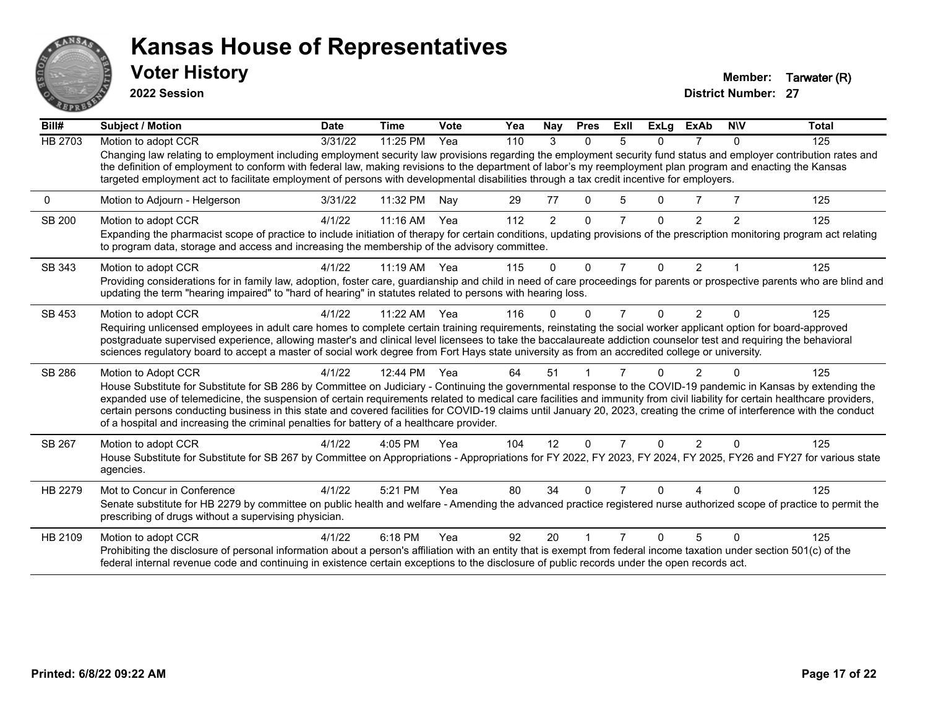

**2022 Session**

**Voter History Member: Tarwater (R)** 

| Bill#          | <b>Subject / Motion</b>                                                                                                                                                                                                                                                                                                                                                                                                                                                         | <b>Date</b> | <b>Time</b> | Vote | Yea | Nay            | <b>Pres</b>  | ExII | <b>ExLg</b> | <b>ExAb</b>    | <b>NIV</b> | <b>Total</b> |
|----------------|---------------------------------------------------------------------------------------------------------------------------------------------------------------------------------------------------------------------------------------------------------------------------------------------------------------------------------------------------------------------------------------------------------------------------------------------------------------------------------|-------------|-------------|------|-----|----------------|--------------|------|-------------|----------------|------------|--------------|
| <b>HB 2703</b> | Motion to adopt CCR                                                                                                                                                                                                                                                                                                                                                                                                                                                             | 3/31/22     | 11:25 PM    | Yea  | 110 | 3              | $\Omega$     | 5    | 0           |                | $\Omega$   | 125          |
|                | Changing law relating to employment including employment security law provisions regarding the employment security fund status and employer contribution rates and<br>the definition of employment to conform with federal law, making revisions to the department of labor's my reemployment plan program and enacting the Kansas<br>targeted employment act to facilitate employment of persons with developmental disabilities through a tax credit incentive for employers. |             |             |      |     |                |              |      |             |                |            |              |
| 0              | Motion to Adjourn - Helgerson                                                                                                                                                                                                                                                                                                                                                                                                                                                   | 3/31/22     | 11:32 PM    | Nav  | 29  | 77             | $\Omega$     | 5    | 0           |                |            | 125          |
| SB 200         | Motion to adopt CCR                                                                                                                                                                                                                                                                                                                                                                                                                                                             | 4/1/22      | 11:16 AM    | Yea  | 112 | $\overline{2}$ | $\mathbf{0}$ |      | $\Omega$    | 2              | 2          | 125          |
|                | Expanding the pharmacist scope of practice to include initiation of therapy for certain conditions, updating provisions of the prescription monitoring program act relating<br>to program data, storage and access and increasing the membership of the advisory committee.                                                                                                                                                                                                     |             |             |      |     |                |              |      |             |                |            |              |
| SB 343         | Motion to adopt CCR                                                                                                                                                                                                                                                                                                                                                                                                                                                             | 4/1/22      | $11:19$ AM  | Yea  | 115 | $\Omega$       | $\Omega$     | 7    | $\Omega$    | 2              |            | 125          |
|                | Providing considerations for in family law, adoption, foster care, guardianship and child in need of care proceedings for parents or prospective parents who are blind and<br>updating the term "hearing impaired" to "hard of hearing" in statutes related to persons with hearing loss.                                                                                                                                                                                       |             |             |      |     |                |              |      |             |                |            |              |
| SB 453         | Motion to adopt CCR                                                                                                                                                                                                                                                                                                                                                                                                                                                             | 4/1/22      | 11:22 AM    | Yea  | 116 | O              | $\Omega$     |      | 0           | 2              |            | 125          |
|                | Requiring unlicensed employees in adult care homes to complete certain training requirements, reinstating the social worker applicant option for board-approved                                                                                                                                                                                                                                                                                                                 |             |             |      |     |                |              |      |             |                |            |              |
|                | postgraduate supervised experience, allowing master's and clinical level licensees to take the baccalaureate addiction counselor test and requiring the behavioral<br>sciences regulatory board to accept a master of social work degree from Fort Hays state university as from an accredited college or university.                                                                                                                                                           |             |             |      |     |                |              |      |             |                |            |              |
|                |                                                                                                                                                                                                                                                                                                                                                                                                                                                                                 |             |             |      |     |                |              |      |             |                |            |              |
| SB 286         | Motion to Adopt CCR                                                                                                                                                                                                                                                                                                                                                                                                                                                             | 4/1/22      | 12:44 PM    | Yea  | 64  | 51             |              |      | 0           | 2              |            | 125          |
|                | House Substitute for Substitute for SB 286 by Committee on Judiciary - Continuing the governmental response to the COVID-19 pandemic in Kansas by extending the<br>expanded use of telemedicine, the suspension of certain requirements related to medical care facilities and immunity from civil liability for certain healthcare providers,                                                                                                                                  |             |             |      |     |                |              |      |             |                |            |              |
|                | certain persons conducting business in this state and covered facilities for COVID-19 claims until January 20, 2023, creating the crime of interference with the conduct                                                                                                                                                                                                                                                                                                        |             |             |      |     |                |              |      |             |                |            |              |
|                | of a hospital and increasing the criminal penalties for battery of a healthcare provider.                                                                                                                                                                                                                                                                                                                                                                                       |             |             |      |     |                |              |      |             |                |            |              |
| SB 267         | Motion to adopt CCR                                                                                                                                                                                                                                                                                                                                                                                                                                                             | 4/1/22      | 4:05 PM     | Yea  | 104 | 12             | $\Omega$     | 7    | $\Omega$    | $\overline{2}$ | $\Omega$   | 125          |
|                | House Substitute for Substitute for SB 267 by Committee on Appropriations - Appropriations for FY 2022, FY 2023, FY 2024, FY 2025, FY26 and FY27 for various state                                                                                                                                                                                                                                                                                                              |             |             |      |     |                |              |      |             |                |            |              |
|                | agencies.                                                                                                                                                                                                                                                                                                                                                                                                                                                                       |             |             |      |     |                |              |      |             |                |            |              |
| HB 2279        | Mot to Concur in Conference                                                                                                                                                                                                                                                                                                                                                                                                                                                     | 4/1/22      | 5:21 PM     | Yea  | 80  | 34             | $\Omega$     |      |             |                |            | 125          |
|                | Senate substitute for HB 2279 by committee on public health and welfare - Amending the advanced practice registered nurse authorized scope of practice to permit the<br>prescribing of drugs without a supervising physician.                                                                                                                                                                                                                                                   |             |             |      |     |                |              |      |             |                |            |              |
| HB 2109        | Motion to adopt CCR                                                                                                                                                                                                                                                                                                                                                                                                                                                             | 4/1/22      | 6:18 PM     | Yea  | 92  | 20             |              |      | ŋ           | 5              |            | 125          |
|                | Prohibiting the disclosure of personal information about a person's affiliation with an entity that is exempt from federal income taxation under section 501(c) of the<br>federal internal revenue code and continuing in existence certain exceptions to the disclosure of public records under the open records act.                                                                                                                                                          |             |             |      |     |                |              |      |             |                |            |              |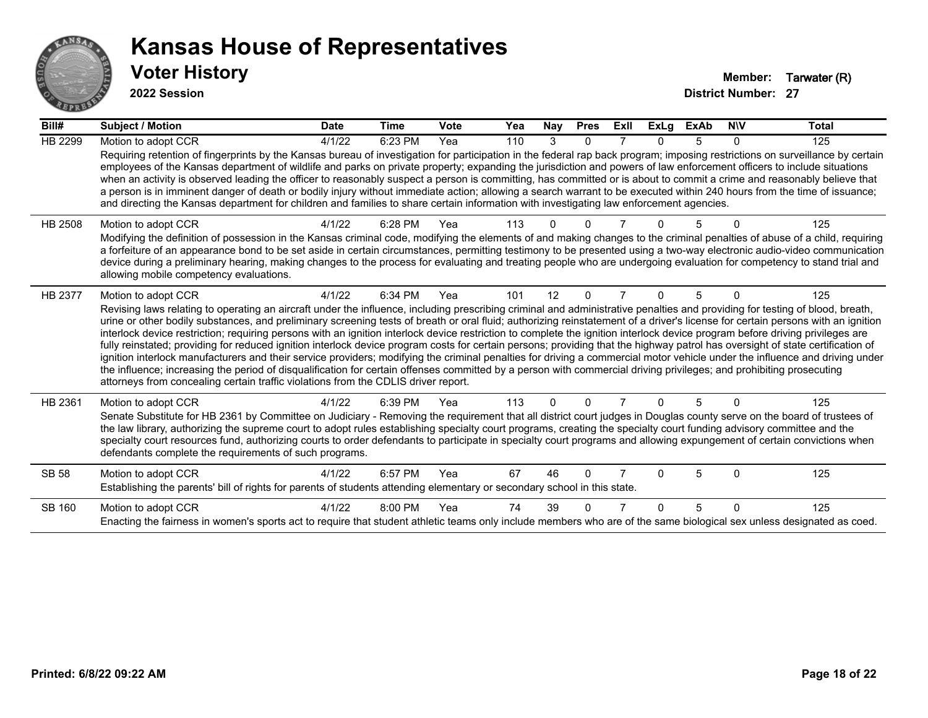

#### **2022 Session**

| Bill#          | Subject / Motion                                                                                                                                                                                                                                                                                                                                                                                                                                                                                                                                                                                                                                                                                                                                                                                                                                                                                                                                                                                                                                                                                                                                                                                      | <b>Date</b> | <b>Time</b> | <b>Vote</b> | Yea | Nay      | <b>Pres</b>  | ExII | <b>ExLg</b>  | <b>ExAb</b> | <b>NIV</b> | <b>Total</b> |
|----------------|-------------------------------------------------------------------------------------------------------------------------------------------------------------------------------------------------------------------------------------------------------------------------------------------------------------------------------------------------------------------------------------------------------------------------------------------------------------------------------------------------------------------------------------------------------------------------------------------------------------------------------------------------------------------------------------------------------------------------------------------------------------------------------------------------------------------------------------------------------------------------------------------------------------------------------------------------------------------------------------------------------------------------------------------------------------------------------------------------------------------------------------------------------------------------------------------------------|-------------|-------------|-------------|-----|----------|--------------|------|--------------|-------------|------------|--------------|
| <b>HB 2299</b> | Motion to adopt CCR                                                                                                                                                                                                                                                                                                                                                                                                                                                                                                                                                                                                                                                                                                                                                                                                                                                                                                                                                                                                                                                                                                                                                                                   | 4/1/22      | 6:23 PM     | Yea         | 110 | 3        | 0            |      |              | 5           | $\Omega$   | 125          |
|                | Requiring retention of fingerprints by the Kansas bureau of investigation for participation in the federal rap back program; imposing restrictions on surveillance by certain<br>employees of the Kansas department of wildlife and parks on private property; expanding the jurisdiction and powers of law enforcement officers to include situations<br>when an activity is observed leading the officer to reasonably suspect a person is committing, has committed or is about to commit a crime and reasonably believe that<br>a person is in imminent danger of death or bodily injury without immediate action; allowing a search warrant to be executed within 240 hours from the time of issuance;<br>and directing the Kansas department for children and families to share certain information with investigating law enforcement agencies.                                                                                                                                                                                                                                                                                                                                                |             |             |             |     |          |              |      |              |             |            |              |
| HB 2508        | Motion to adopt CCR<br>Modifying the definition of possession in the Kansas criminal code, modifying the elements of and making changes to the criminal penalties of abuse of a child, requiring<br>a forfeiture of an appearance bond to be set aside in certain circumstances, permitting testimony to be presented using a two-way electronic audio-video communication<br>device during a preliminary hearing, making changes to the process for evaluating and treating people who are undergoing evaluation for competency to stand trial and<br>allowing mobile competency evaluations.                                                                                                                                                                                                                                                                                                                                                                                                                                                                                                                                                                                                        | 4/1/22      | 6:28 PM     | Yea         | 113 |          |              |      |              |             |            | 125          |
|                |                                                                                                                                                                                                                                                                                                                                                                                                                                                                                                                                                                                                                                                                                                                                                                                                                                                                                                                                                                                                                                                                                                                                                                                                       | 4/1/22      | 6:34 PM     | Yea         | 101 | 12       | 0            | 7    | $\Omega$     | 5           | $\Omega$   | 125          |
| HB 2377        | Motion to adopt CCR<br>Revising laws relating to operating an aircraft under the influence, including prescribing criminal and administrative penalties and providing for testing of blood, breath,<br>urine or other bodily substances, and preliminary screening tests of breath or oral fluid; authorizing reinstatement of a driver's license for certain persons with an ignition<br>interlock device restriction; requiring persons with an ignition interlock device restriction to complete the ignition interlock device program before driving privileges are<br>fully reinstated; providing for reduced ignition interlock device program costs for certain persons; providing that the highway patrol has oversight of state certification of<br>ignition interlock manufacturers and their service providers; modifying the criminal penalties for driving a commercial motor vehicle under the influence and driving under<br>the influence; increasing the period of disqualification for certain offenses committed by a person with commercial driving privileges; and prohibiting prosecuting<br>attorneys from concealing certain traffic violations from the CDLIS driver report. |             |             |             |     |          |              |      |              |             |            |              |
| HB 2361        | Motion to adopt CCR<br>Senate Substitute for HB 2361 by Committee on Judiciary - Removing the requirement that all district court judges in Douglas county serve on the board of trustees of<br>the law library, authorizing the supreme court to adopt rules establishing specialty court programs, creating the specialty court funding advisory committee and the<br>specialty court resources fund, authorizing courts to order defendants to participate in specialty court programs and allowing expungement of certain convictions when<br>defendants complete the requirements of such programs.                                                                                                                                                                                                                                                                                                                                                                                                                                                                                                                                                                                              | 4/1/22      | 6:39 PM     | Yea         | 113 | $\Omega$ | $\Omega$     |      | <sup>0</sup> | 5           | $\Omega$   | 125          |
| <b>SB 58</b>   | Motion to adopt CCR<br>Establishing the parents' bill of rights for parents of students attending elementary or secondary school in this state.                                                                                                                                                                                                                                                                                                                                                                                                                                                                                                                                                                                                                                                                                                                                                                                                                                                                                                                                                                                                                                                       | 4/1/22      | 6:57 PM     | Yea         | 67  | 46       | $\Omega$     |      | <sup>0</sup> | 5           | $\Omega$   | 125          |
| <b>SB 160</b>  | Motion to adopt CCR<br>Enacting the fairness in women's sports act to require that student athletic teams only include members who are of the same biological sex unless designated as coed.                                                                                                                                                                                                                                                                                                                                                                                                                                                                                                                                                                                                                                                                                                                                                                                                                                                                                                                                                                                                          | 4/1/22      | 8:00 PM     | Yea         | 74  | 39       | <sup>0</sup> |      |              | 5           | $\Omega$   | 125          |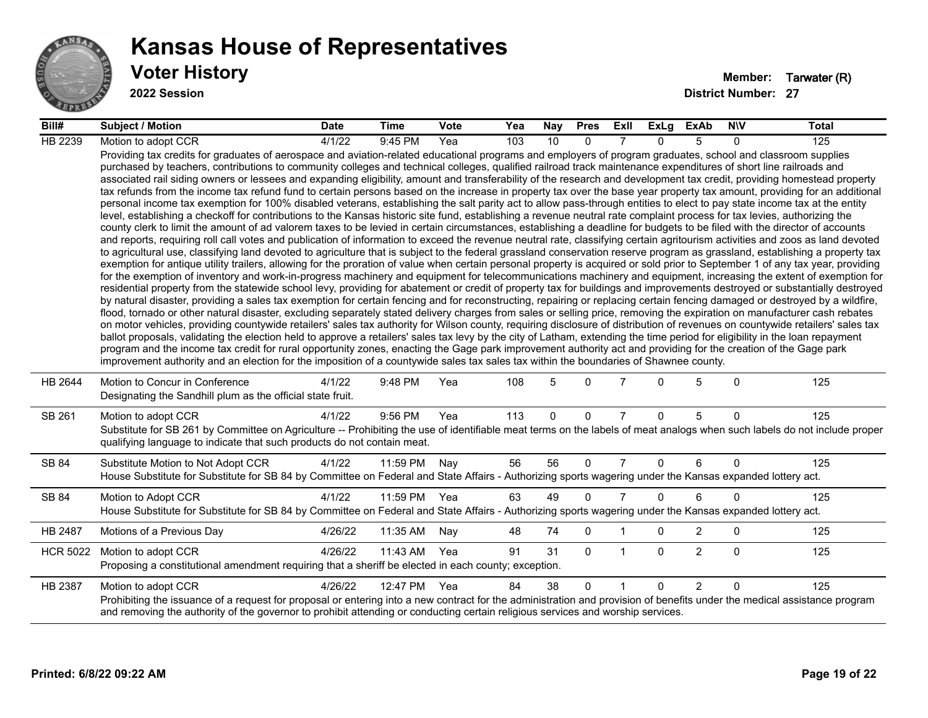

**2022 Session**

| Bill#           | Subject / Motion                                                                                                                                                                                                                                                                                                                                                                                                                                                                                                                                                                                                                                                                                                                                                                                                                                                                                                                                                                                                                                                                                                                                                                                                                                                                                                                                                                                                                                                                                                                                                                                                                                                                                                                                                                                                                                                                                                                                                                                                                                                                                                                                                                                                                                                                                                                                                                                                                                                                                                                                                                                                                                                                                                                                                                                                                                                                                                                                                                                                                                                                                                                                                            | <b>Date</b> | <b>Time</b>  | Vote | Yea | Nay         | <b>Pres</b>  | ExII           | <b>ExLg</b> | <b>ExAb</b>    | <b>NIV</b>   | <b>Total</b> |
|-----------------|-----------------------------------------------------------------------------------------------------------------------------------------------------------------------------------------------------------------------------------------------------------------------------------------------------------------------------------------------------------------------------------------------------------------------------------------------------------------------------------------------------------------------------------------------------------------------------------------------------------------------------------------------------------------------------------------------------------------------------------------------------------------------------------------------------------------------------------------------------------------------------------------------------------------------------------------------------------------------------------------------------------------------------------------------------------------------------------------------------------------------------------------------------------------------------------------------------------------------------------------------------------------------------------------------------------------------------------------------------------------------------------------------------------------------------------------------------------------------------------------------------------------------------------------------------------------------------------------------------------------------------------------------------------------------------------------------------------------------------------------------------------------------------------------------------------------------------------------------------------------------------------------------------------------------------------------------------------------------------------------------------------------------------------------------------------------------------------------------------------------------------------------------------------------------------------------------------------------------------------------------------------------------------------------------------------------------------------------------------------------------------------------------------------------------------------------------------------------------------------------------------------------------------------------------------------------------------------------------------------------------------------------------------------------------------------------------------------------------------------------------------------------------------------------------------------------------------------------------------------------------------------------------------------------------------------------------------------------------------------------------------------------------------------------------------------------------------------------------------------------------------------------------------------------------------|-------------|--------------|------|-----|-------------|--------------|----------------|-------------|----------------|--------------|--------------|
| HB 2239         | Motion to adopt CCR                                                                                                                                                                                                                                                                                                                                                                                                                                                                                                                                                                                                                                                                                                                                                                                                                                                                                                                                                                                                                                                                                                                                                                                                                                                                                                                                                                                                                                                                                                                                                                                                                                                                                                                                                                                                                                                                                                                                                                                                                                                                                                                                                                                                                                                                                                                                                                                                                                                                                                                                                                                                                                                                                                                                                                                                                                                                                                                                                                                                                                                                                                                                                         | 4/1/22      | 9:45 PM      | Yea  | 103 | 10          | $\Omega$     |                | 0           | 5              | 0            | 125          |
|                 | Providing tax credits for graduates of aerospace and aviation-related educational programs and employers of program graduates, school and classroom supplies<br>purchased by teachers, contributions to community colleges and technical colleges, qualified railroad track maintenance expenditures of short line railroads and<br>associated rail siding owners or lessees and expanding eligibility, amount and transferability of the research and development tax credit, providing homestead property<br>tax refunds from the income tax refund fund to certain persons based on the increase in property tax over the base year property tax amount, providing for an additional<br>personal income tax exemption for 100% disabled veterans, establishing the salt parity act to allow pass-through entities to elect to pay state income tax at the entity<br>level, establishing a checkoff for contributions to the Kansas historic site fund, establishing a revenue neutral rate complaint process for tax levies, authorizing the<br>county clerk to limit the amount of ad valorem taxes to be levied in certain circumstances, establishing a deadline for budgets to be filed with the director of accounts<br>and reports, requiring roll call votes and publication of information to exceed the revenue neutral rate, classifying certain agritourism activities and zoos as land devoted<br>to agricultural use, classifying land devoted to agriculture that is subject to the federal grassland conservation reserve program as grassland, establishing a property tax<br>exemption for antique utility trailers, allowing for the proration of value when certain personal property is acquired or sold prior to September 1 of any tax year, providing<br>for the exemption of inventory and work-in-progress machinery and equipment for telecommunications machinery and equipment, increasing the extent of exemption for<br>residential property from the statewide school levy, providing for abatement or credit of property tax for buildings and improvements destroyed or substantially destroyed<br>by natural disaster, providing a sales tax exemption for certain fencing and for reconstructing, repairing or replacing certain fencing damaged or destroyed by a wildfire,<br>flood, tornado or other natural disaster, excluding separately stated delivery charges from sales or selling price, removing the expiration on manufacturer cash rebates<br>on motor vehicles, providing countywide retailers' sales tax authority for Wilson county, requiring disclosure of distribution of revenues on countywide retailers' sales tax<br>ballot proposals, validating the election held to approve a retailers' sales tax levy by the city of Latham, extending the time period for eligibility in the loan repayment<br>program and the income tax credit for rural opportunity zones, enacting the Gage park improvement authority act and providing for the creation of the Gage park<br>improvement authority and an election for the imposition of a countywide sales tax sales tax within the boundaries of Shawnee county. |             |              |      |     |             |              |                |             |                |              |              |
| HB 2644         | Motion to Concur in Conference<br>Designating the Sandhill plum as the official state fruit.                                                                                                                                                                                                                                                                                                                                                                                                                                                                                                                                                                                                                                                                                                                                                                                                                                                                                                                                                                                                                                                                                                                                                                                                                                                                                                                                                                                                                                                                                                                                                                                                                                                                                                                                                                                                                                                                                                                                                                                                                                                                                                                                                                                                                                                                                                                                                                                                                                                                                                                                                                                                                                                                                                                                                                                                                                                                                                                                                                                                                                                                                | 4/1/22      | 9:48 PM      | Yea  | 108 | 5           | $\Omega$     | 7              | 0           | 5              | $\Omega$     | 125          |
| SB 261          | Motion to adopt CCR<br>Substitute for SB 261 by Committee on Agriculture -- Prohibiting the use of identifiable meat terms on the labels of meat analogs when such labels do not include proper<br>qualifying language to indicate that such products do not contain meat.                                                                                                                                                                                                                                                                                                                                                                                                                                                                                                                                                                                                                                                                                                                                                                                                                                                                                                                                                                                                                                                                                                                                                                                                                                                                                                                                                                                                                                                                                                                                                                                                                                                                                                                                                                                                                                                                                                                                                                                                                                                                                                                                                                                                                                                                                                                                                                                                                                                                                                                                                                                                                                                                                                                                                                                                                                                                                                  | 4/1/22      | 9:56 PM      | Yea  | 113 | $\mathbf 0$ | 0            | $\overline{7}$ | $\mathbf 0$ | 5              | $\Omega$     | 125          |
| SB 84           | Substitute Motion to Not Adopt CCR<br>House Substitute for Substitute for SB 84 by Committee on Federal and State Affairs - Authorizing sports wagering under the Kansas expanded lottery act.                                                                                                                                                                                                                                                                                                                                                                                                                                                                                                                                                                                                                                                                                                                                                                                                                                                                                                                                                                                                                                                                                                                                                                                                                                                                                                                                                                                                                                                                                                                                                                                                                                                                                                                                                                                                                                                                                                                                                                                                                                                                                                                                                                                                                                                                                                                                                                                                                                                                                                                                                                                                                                                                                                                                                                                                                                                                                                                                                                              | 4/1/22      | 11:59 PM     | Nay  | 56  | 56          | $\Omega$     | $\overline{7}$ | $\Omega$    | 6              | $\Omega$     | 125          |
| SB 84           | Motion to Adopt CCR<br>House Substitute for Substitute for SB 84 by Committee on Federal and State Affairs - Authorizing sports wagering under the Kansas expanded lottery act.                                                                                                                                                                                                                                                                                                                                                                                                                                                                                                                                                                                                                                                                                                                                                                                                                                                                                                                                                                                                                                                                                                                                                                                                                                                                                                                                                                                                                                                                                                                                                                                                                                                                                                                                                                                                                                                                                                                                                                                                                                                                                                                                                                                                                                                                                                                                                                                                                                                                                                                                                                                                                                                                                                                                                                                                                                                                                                                                                                                             | 4/1/22      | 11:59 PM Yea |      | 63  | 49          | $\Omega$     | $\overline{7}$ | $\Omega$    | 6              | $\Omega$     | 125          |
| HB 2487         | Motions of a Previous Day                                                                                                                                                                                                                                                                                                                                                                                                                                                                                                                                                                                                                                                                                                                                                                                                                                                                                                                                                                                                                                                                                                                                                                                                                                                                                                                                                                                                                                                                                                                                                                                                                                                                                                                                                                                                                                                                                                                                                                                                                                                                                                                                                                                                                                                                                                                                                                                                                                                                                                                                                                                                                                                                                                                                                                                                                                                                                                                                                                                                                                                                                                                                                   | 4/26/22     | 11:35 AM     | Nay  | 48  | 74          | 0            |                | 0           | 2              | 0            | 125          |
| <b>HCR 5022</b> | Motion to adopt CCR<br>Proposing a constitutional amendment requiring that a sheriff be elected in each county; exception.                                                                                                                                                                                                                                                                                                                                                                                                                                                                                                                                                                                                                                                                                                                                                                                                                                                                                                                                                                                                                                                                                                                                                                                                                                                                                                                                                                                                                                                                                                                                                                                                                                                                                                                                                                                                                                                                                                                                                                                                                                                                                                                                                                                                                                                                                                                                                                                                                                                                                                                                                                                                                                                                                                                                                                                                                                                                                                                                                                                                                                                  | 4/26/22     | 11:43 AM     | Yea  | 91  | 31          | $\mathbf{0}$ | $\mathbf 1$    | $\Omega$    | $\overline{2}$ | $\mathbf{0}$ | 125          |
| HB 2387         | Motion to adopt CCR<br>Prohibiting the issuance of a request for proposal or entering into a new contract for the administration and provision of benefits under the medical assistance program<br>and removing the authority of the governor to prohibit attending or conducting certain religious services and worship services.                                                                                                                                                                                                                                                                                                                                                                                                                                                                                                                                                                                                                                                                                                                                                                                                                                                                                                                                                                                                                                                                                                                                                                                                                                                                                                                                                                                                                                                                                                                                                                                                                                                                                                                                                                                                                                                                                                                                                                                                                                                                                                                                                                                                                                                                                                                                                                                                                                                                                                                                                                                                                                                                                                                                                                                                                                          | 4/26/22     | 12:47 PM     | Yea  | 84  | 38          | $\Omega$     |                | $\Omega$    | $\overline{2}$ | $\Omega$     | 125          |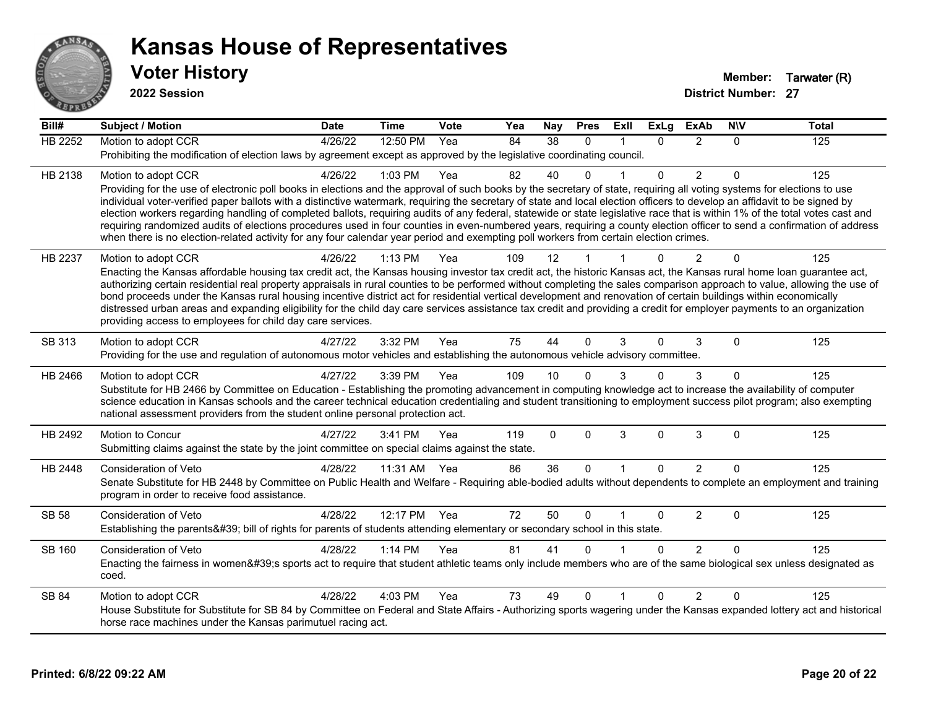

**2022 Session**

| Bill#         | <b>Subject / Motion</b>                                                                                                                                                                                                                                                                                                                                 | <b>Date</b> | <b>Time</b>  | <b>Vote</b> | Yea | <b>Nay</b>  | <b>Pres</b> | ExII         | <b>ExLg</b>  | <b>ExAb</b>    | <b>NIV</b>   | <b>Total</b> |
|---------------|---------------------------------------------------------------------------------------------------------------------------------------------------------------------------------------------------------------------------------------------------------------------------------------------------------------------------------------------------------|-------------|--------------|-------------|-----|-------------|-------------|--------------|--------------|----------------|--------------|--------------|
| HB 2252       | Motion to adopt CCR                                                                                                                                                                                                                                                                                                                                     | 4/26/22     | 12:50 PM     | Yea         | 84  | 38          | $\Omega$    |              | $\Omega$     | 2              | $\Omega$     | 125          |
|               | Prohibiting the modification of election laws by agreement except as approved by the legislative coordinating council.                                                                                                                                                                                                                                  |             |              |             |     |             |             |              |              |                |              |              |
| HB 2138       | Motion to adopt CCR                                                                                                                                                                                                                                                                                                                                     | 4/26/22     | 1:03 PM      | Yea         | 82  | 40          |             |              | $\Omega$     | 2              | $\mathbf{0}$ | 125          |
|               | Providing for the use of electronic poll books in elections and the approval of such books by the secretary of state, requiring all voting systems for elections to use                                                                                                                                                                                 |             |              |             |     |             |             |              |              |                |              |              |
|               | individual voter-verified paper ballots with a distinctive watermark, requiring the secretary of state and local election officers to develop an affidavit to be signed by                                                                                                                                                                              |             |              |             |     |             |             |              |              |                |              |              |
|               | election workers regarding handling of completed ballots, requiring audits of any federal, statewide or state legislative race that is within 1% of the total votes cast and<br>requiring randomized audits of elections procedures used in four counties in even-numbered years, requiring a county election officer to send a confirmation of address |             |              |             |     |             |             |              |              |                |              |              |
|               | when there is no election-related activity for any four calendar year period and exempting poll workers from certain election crimes.                                                                                                                                                                                                                   |             |              |             |     |             |             |              |              |                |              |              |
| HB 2237       | Motion to adopt CCR                                                                                                                                                                                                                                                                                                                                     | 4/26/22     | 1:13 PM      | Yea         | 109 | 12          |             |              | ∩            | $\overline{2}$ | 0            | 125          |
|               | Enacting the Kansas affordable housing tax credit act, the Kansas housing investor tax credit act, the historic Kansas act, the Kansas rural home loan guarantee act,                                                                                                                                                                                   |             |              |             |     |             |             |              |              |                |              |              |
|               | authorizing certain residential real property appraisals in rural counties to be performed without completing the sales comparison approach to value, allowing the use of                                                                                                                                                                               |             |              |             |     |             |             |              |              |                |              |              |
|               | bond proceeds under the Kansas rural housing incentive district act for residential vertical development and renovation of certain buildings within economically                                                                                                                                                                                        |             |              |             |     |             |             |              |              |                |              |              |
|               | distressed urban areas and expanding eligibility for the child day care services assistance tax credit and providing a credit for employer payments to an organization<br>providing access to employees for child day care services.                                                                                                                    |             |              |             |     |             |             |              |              |                |              |              |
|               |                                                                                                                                                                                                                                                                                                                                                         |             |              |             |     |             |             |              |              |                |              |              |
| SB 313        | Motion to adopt CCR                                                                                                                                                                                                                                                                                                                                     | 4/27/22     | 3:32 PM      | Yea         | 75  | 44          | $\Omega$    | 3            | 0            | 3              | $\mathbf{0}$ | 125          |
|               | Providing for the use and regulation of autonomous motor vehicles and establishing the autonomous vehicle advisory committee.                                                                                                                                                                                                                           |             |              |             |     |             |             |              |              |                |              |              |
| HB 2466       | Motion to adopt CCR                                                                                                                                                                                                                                                                                                                                     | 4/27/22     | 3:39 PM      | Yea         | 109 | 10          |             |              | $\Omega$     | 3              | 0            | 125          |
|               | Substitute for HB 2466 by Committee on Education - Establishing the promoting advancement in computing knowledge act to increase the availability of computer                                                                                                                                                                                           |             |              |             |     |             |             |              |              |                |              |              |
|               | science education in Kansas schools and the career technical education credentialing and student transitioning to employment success pilot program; also exempting<br>national assessment providers from the student online personal protection act.                                                                                                    |             |              |             |     |             |             |              |              |                |              |              |
|               |                                                                                                                                                                                                                                                                                                                                                         |             |              |             |     |             |             |              |              |                |              |              |
| HB 2492       | Motion to Concur<br>Submitting claims against the state by the joint committee on special claims against the state.                                                                                                                                                                                                                                     | 4/27/22     | 3:41 PM      | Yea         | 119 | $\mathbf 0$ | $\Omega$    | 3            | 0            | $\mathsf 3$    | 0            | 125          |
|               |                                                                                                                                                                                                                                                                                                                                                         |             |              |             |     |             |             |              |              |                |              |              |
| HB 2448       | Consideration of Veto                                                                                                                                                                                                                                                                                                                                   | 4/28/22     | 11:31 AM Yea |             | 86  | 36          | $\Omega$    | $\mathbf{1}$ | $\mathbf{0}$ | $\overline{2}$ | $\Omega$     | 125          |
|               | Senate Substitute for HB 2448 by Committee on Public Health and Welfare - Requiring able-bodied adults without dependents to complete an employment and training                                                                                                                                                                                        |             |              |             |     |             |             |              |              |                |              |              |
|               | program in order to receive food assistance.                                                                                                                                                                                                                                                                                                            |             |              |             |     |             |             |              |              |                |              |              |
| <b>SB 58</b>  | <b>Consideration of Veto</b>                                                                                                                                                                                                                                                                                                                            | 4/28/22     | 12:17 PM     | Yea         | 72  | 50          | $\Omega$    |              | 0            | $\overline{2}$ | $\mathbf 0$  | 125          |
|               | Establishing the parents' bill of rights for parents of students attending elementary or secondary school in this state.                                                                                                                                                                                                                                |             |              |             |     |             |             |              |              |                |              |              |
| <b>SB 160</b> | <b>Consideration of Veto</b>                                                                                                                                                                                                                                                                                                                            | 4/28/22     | 1:14 PM      | Yea         | 81  | 41          | $\Omega$    |              | $\Omega$     | 2              | $\Omega$     | 125          |
|               | Enacting the fairness in women's sports act to require that student athletic teams only include members who are of the same biological sex unless designated as                                                                                                                                                                                         |             |              |             |     |             |             |              |              |                |              |              |
|               | coed.                                                                                                                                                                                                                                                                                                                                                   |             |              |             |     |             |             |              |              |                |              |              |
| SB 84         | Motion to adopt CCR                                                                                                                                                                                                                                                                                                                                     | 4/28/22     | 4:03 PM      | Yea         | 73  | 49          | 0           |              | 0            | 2              | 0            | 125          |
|               | House Substitute for Substitute for SB 84 by Committee on Federal and State Affairs - Authorizing sports wagering under the Kansas expanded lottery act and historical                                                                                                                                                                                  |             |              |             |     |             |             |              |              |                |              |              |
|               | horse race machines under the Kansas parimutuel racing act.                                                                                                                                                                                                                                                                                             |             |              |             |     |             |             |              |              |                |              |              |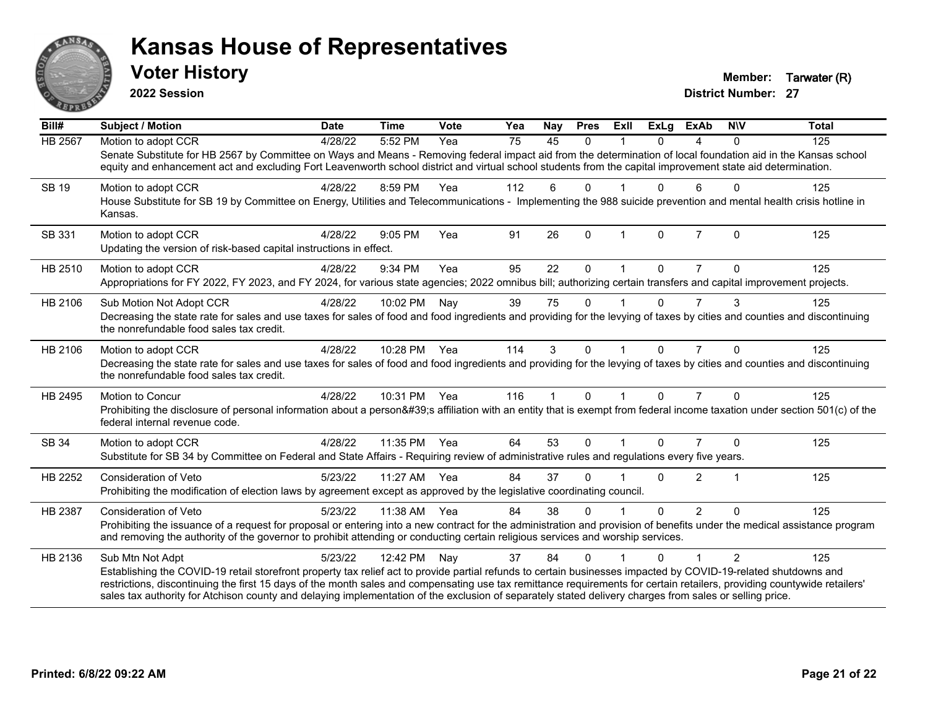

**2022 Session**

**District Number: 27 Voter History Member: Tarwater (R)** 

| Bill#        | <b>Subject / Motion</b>                                                                                                                                                                                                                                                                                                             | <b>Date</b> | <b>Time</b>  | <b>Vote</b> | Yea | <b>Nay</b>   | <b>Pres</b> | ExIl | <b>ExLg</b> | <b>ExAb</b>    | <b>NIV</b>     | <b>Total</b> |
|--------------|-------------------------------------------------------------------------------------------------------------------------------------------------------------------------------------------------------------------------------------------------------------------------------------------------------------------------------------|-------------|--------------|-------------|-----|--------------|-------------|------|-------------|----------------|----------------|--------------|
| HB 2567      | Motion to adopt CCR                                                                                                                                                                                                                                                                                                                 | 4/28/22     | 5:52 PM      | Yea         | 75  | 45           | $\Omega$    |      | $\Omega$    | 4              | $\mathbf{0}$   | 125          |
|              | Senate Substitute for HB 2567 by Committee on Ways and Means - Removing federal impact aid from the determination of local foundation aid in the Kansas school<br>equity and enhancement act and excluding Fort Leavenworth school district and virtual school students from the capital improvement state aid determination.       |             |              |             |     |              |             |      |             |                |                |              |
| <b>SB 19</b> | Motion to adopt CCR                                                                                                                                                                                                                                                                                                                 | 4/28/22     | 8:59 PM      | Yea         | 112 | 6            | 0           |      | 0           | 6              | $\Omega$       | 125          |
|              | House Substitute for SB 19 by Committee on Energy, Utilities and Telecommunications - Implementing the 988 suicide prevention and mental health crisis hotline in<br>Kansas.                                                                                                                                                        |             |              |             |     |              |             |      |             |                |                |              |
| SB 331       | Motion to adopt CCR                                                                                                                                                                                                                                                                                                                 | 4/28/22     | 9:05 PM      | Yea         | 91  | 26           | $\Omega$    |      | $\Omega$    | $\overline{7}$ | $\Omega$       | 125          |
|              | Updating the version of risk-based capital instructions in effect.                                                                                                                                                                                                                                                                  |             |              |             |     |              |             |      |             |                |                |              |
| HB 2510      | Motion to adopt CCR                                                                                                                                                                                                                                                                                                                 | 4/28/22     | 9:34 PM      | Yea         | 95  | 22           | 0           |      | 0           |                | $\Omega$       | 125          |
|              | Appropriations for FY 2022, FY 2023, and FY 2024, for various state agencies; 2022 omnibus bill; authorizing certain transfers and capital improvement projects.                                                                                                                                                                    |             |              |             |     |              |             |      |             |                |                |              |
| HB 2106      | Sub Motion Not Adopt CCR                                                                                                                                                                                                                                                                                                            | 4/28/22     | 10:02 PM     | Nay         | 39  | 75           | $\Omega$    |      | $\Omega$    | $\overline{7}$ | 3              | 125          |
|              | Decreasing the state rate for sales and use taxes for sales of food and food ingredients and providing for the levying of taxes by cities and counties and discontinuing<br>the nonrefundable food sales tax credit.                                                                                                                |             |              |             |     |              |             |      |             |                |                |              |
| HB 2106      | Motion to adopt CCR                                                                                                                                                                                                                                                                                                                 | 4/28/22     | 10:28 PM Yea |             | 114 | 3            | $\Omega$    |      | $\Omega$    | $\overline{7}$ | $\Omega$       | 125          |
|              | Decreasing the state rate for sales and use taxes for sales of food and food ingredients and providing for the levying of taxes by cities and counties and discontinuing<br>the nonrefundable food sales tax credit.                                                                                                                |             |              |             |     |              |             |      |             |                |                |              |
| HB 2495      | Motion to Concur                                                                                                                                                                                                                                                                                                                    | 4/28/22     | 10:31 PM Yea |             | 116 | $\mathbf{1}$ | $\Omega$    |      | $\Omega$    | $\overline{7}$ | $\Omega$       | 125          |
|              | Prohibiting the disclosure of personal information about a person's affiliation with an entity that is exempt from federal income taxation under section 501(c) of the<br>federal internal revenue code.                                                                                                                            |             |              |             |     |              |             |      |             |                |                |              |
| SB 34        | Motion to adopt CCR                                                                                                                                                                                                                                                                                                                 | 4/28/22     | 11:35 PM     | Yea         | 64  | 53           | $\Omega$    |      | $\Omega$    |                | $\Omega$       | 125          |
|              | Substitute for SB 34 by Committee on Federal and State Affairs - Requiring review of administrative rules and regulations every five years.                                                                                                                                                                                         |             |              |             |     |              |             |      |             |                |                |              |
| HB 2252      | <b>Consideration of Veto</b>                                                                                                                                                                                                                                                                                                        | 5/23/22     | 11:27 AM     | Yea         | 84  | 37           | 0           |      | U           | $\overline{2}$ | 1              | 125          |
|              | Prohibiting the modification of election laws by agreement except as approved by the legislative coordinating council.                                                                                                                                                                                                              |             |              |             |     |              |             |      |             |                |                |              |
| HB 2387      | Consideration of Veto                                                                                                                                                                                                                                                                                                               | 5/23/22     | 11:38 AM     | Yea         | 84  | 38           | 0           |      | $\Omega$    | $\overline{2}$ | $\Omega$       | 125          |
|              | Prohibiting the issuance of a request for proposal or entering into a new contract for the administration and provision of benefits under the medical assistance program<br>and removing the authority of the governor to prohibit attending or conducting certain religious services and worship services.                         |             |              |             |     |              |             |      |             |                |                |              |
| HB 2136      | Sub Mtn Not Adpt                                                                                                                                                                                                                                                                                                                    | 5/23/22     | 12:42 PM     | Nay         | 37  | 84           | $\Omega$    |      | $\Omega$    |                | $\overline{2}$ | 125          |
|              | Establishing the COVID-19 retail storefront property tax relief act to provide partial refunds to certain businesses impacted by COVID-19-related shutdowns and                                                                                                                                                                     |             |              |             |     |              |             |      |             |                |                |              |
|              | restrictions, discontinuing the first 15 days of the month sales and compensating use tax remittance requirements for certain retailers, providing countywide retailers'<br>sales tax authority for Atchison county and delaying implementation of the exclusion of separately stated delivery charges from sales or selling price. |             |              |             |     |              |             |      |             |                |                |              |